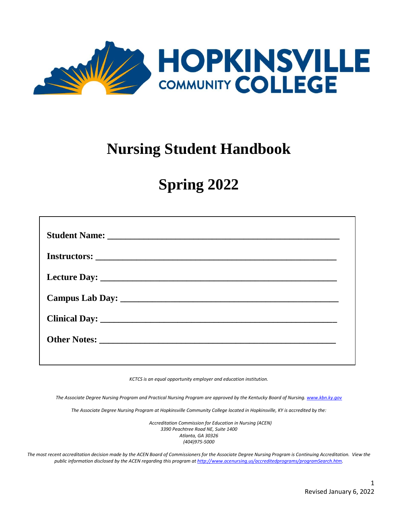

# **Nursing Student Handbook**

# **Spring 2022**

*KCTCS is an equal opportunity employer and education institution.* 

*The Associate Degree Nursing Program and Practical Nursing Program are approved by the Kentucky Board of Nursing[. www.kbn.ky.gov](http://www.kbn.ky.gov/)*

*The Associate Degree Nursing Program at Hopkinsville Community College located in Hopkinsville, KY is accredited by the:*

*Accreditation Commission for Education in Nursing (ACEN) 3390 Peachtree Road NE, Suite 1400 Atlanta, GA 30326 (404)975-5000*

*The most recent accreditation decision made by the ACEN Board of Commissioners for the Associate Degree Nursing Program is Continuing Accreditation. View the public information disclosed by the ACEN regarding this program at [http://www.acenursing.us/accreditedprograms/programSearch.htm.](https://nam10.safelinks.protection.outlook.com/?url=http%3A%2F%2Fwww.acenursing.us%2Faccreditedprograms%2FprogramSearch.htm&data=02%7C01%7Ckmartin0238%40kctcs.edu%7Ca508dd3ba8d54b6c83c408d8388c43e4%7Cf2e339511ec44c72b2bfa4f4671d64af%7C0%7C0%7C637321522366840692&sdata=rLyyDmdO5gffAVX9moHJnnkPg2lZDwIK0IDwjCTS35g%3D&reserved=0)*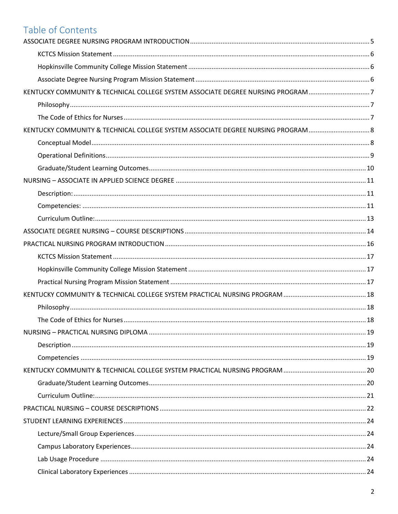# Table of Contents

| KENTUCKY COMMUNITY & TECHNICAL COLLEGE SYSTEM ASSOCIATE DEGREE NURSING PROGRAM7  |  |
|----------------------------------------------------------------------------------|--|
|                                                                                  |  |
|                                                                                  |  |
| KENTUCKY COMMUNITY & TECHNICAL COLLEGE SYSTEM ASSOCIATE DEGREE NURSING PROGRAM 8 |  |
|                                                                                  |  |
|                                                                                  |  |
|                                                                                  |  |
|                                                                                  |  |
|                                                                                  |  |
|                                                                                  |  |
|                                                                                  |  |
|                                                                                  |  |
|                                                                                  |  |
|                                                                                  |  |
|                                                                                  |  |
|                                                                                  |  |
|                                                                                  |  |
|                                                                                  |  |
|                                                                                  |  |
|                                                                                  |  |
|                                                                                  |  |
|                                                                                  |  |
|                                                                                  |  |
|                                                                                  |  |
|                                                                                  |  |
|                                                                                  |  |
|                                                                                  |  |
|                                                                                  |  |
|                                                                                  |  |
|                                                                                  |  |
|                                                                                  |  |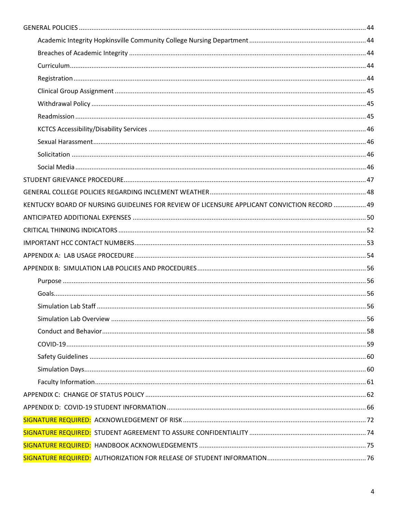| KENTUCKY BOARD OF NURSING GUIDELINES FOR REVIEW OF LICENSURE APPLICANT CONVICTION RECORD  49 |  |
|----------------------------------------------------------------------------------------------|--|
|                                                                                              |  |
|                                                                                              |  |
|                                                                                              |  |
|                                                                                              |  |
|                                                                                              |  |
|                                                                                              |  |
|                                                                                              |  |
|                                                                                              |  |
|                                                                                              |  |
|                                                                                              |  |
|                                                                                              |  |
|                                                                                              |  |
|                                                                                              |  |
|                                                                                              |  |
|                                                                                              |  |
|                                                                                              |  |
|                                                                                              |  |
|                                                                                              |  |
|                                                                                              |  |
|                                                                                              |  |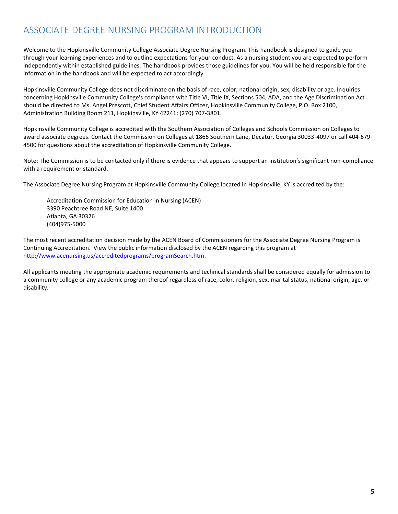# <span id="page-4-0"></span>ASSOCIATE DEGREE NURSING PROGRAM INTRODUCTION

Welcome to the Hopkinsville Community College Associate Degree Nursing Program. This handbook is designed to guide you through your learning experiences and to outline expectations for your conduct. As a nursing student you are expected to perform independently within established guidelines. The handbook provides those guidelines for you. You will be held responsible for the information in the handbook and will be expected to act accordingly.

Hopkinsville Community College does not discriminate on the basis of race, color, national origin, sex, disability or age. Inquiries concerning Hopkinsville Community College's compliance with Title VI, Title IX, Sections 504, ADA, and the Age Discrimination Act should be directed to Ms. Angel Prescott, Chief Student Affairs Officer, Hopkinsville Community College, P.O. Box 2100, Administration Building Room 211, Hopkinsville, KY 42241; (270) 707-3801.

Hopkinsville Community College is accredited with the Southern Association of Colleges and Schools Commission on Colleges to award associate degrees. Contact the Commission on Colleges at 1866 Southern Lane, Decatur, Georgia 30033-4097 or call 404-679- 4500 for questions about the accreditation of Hopkinsville Community College.

Note: The Commission is to be contacted only if there is evidence that appears to support an institution's significant non-compliance with a requirement or standard.

The Associate Degree Nursing Program at Hopkinsville Community College located in Hopkinsville, KY is accredited by the:

Accreditation Commission for Education in Nursing (ACEN) 3390 Peachtree Road NE, Suite 1400 Atlanta, GA 30326 (404)975-5000

The most recent accreditation decision made by the ACEN Board of Commissioners for the Associate Degree Nursing Program is Continuing Accreditation. View the public information disclosed by the ACEN regarding this program at [http://www.acenursing.us/accreditedprograms/programSearch.htm.](https://nam10.safelinks.protection.outlook.com/?url=http%3A%2F%2Fwww.acenursing.us%2Faccreditedprograms%2FprogramSearch.htm&data=02%7C01%7Ckmartin0238%40kctcs.edu%7Ca508dd3ba8d54b6c83c408d8388c43e4%7Cf2e339511ec44c72b2bfa4f4671d64af%7C0%7C0%7C637321522366840692&sdata=rLyyDmdO5gffAVX9moHJnnkPg2lZDwIK0IDwjCTS35g%3D&reserved=0)

All applicants meeting the appropriate academic requirements and technical standards shall be considered equally for admission to a community college or any academic program thereof regardless of race, color, religion, sex, marital status, national origin, age, or disability.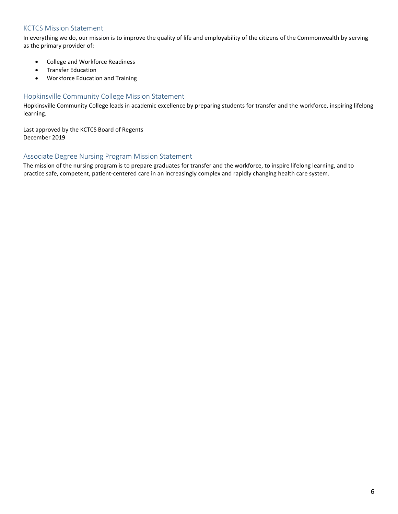# <span id="page-5-0"></span>KCTCS Mission Statement

In everything we do, our mission is to improve the quality of life and employability of the citizens of the Commonwealth by serving as the primary provider of:

- College and Workforce Readiness
- Transfer Education
- Workforce Education and Training

### <span id="page-5-1"></span>Hopkinsville Community College Mission Statement

Hopkinsville Community College leads in academic excellence by preparing students for transfer and the workforce, inspiring lifelong learning.

Last approved by the KCTCS Board of Regents December 2019

#### <span id="page-5-2"></span>Associate Degree Nursing Program Mission Statement

The mission of the nursing program is to prepare graduates for transfer and the workforce, to inspire lifelong learning, and to practice safe, competent, patient-centered care in an increasingly complex and rapidly changing health care system.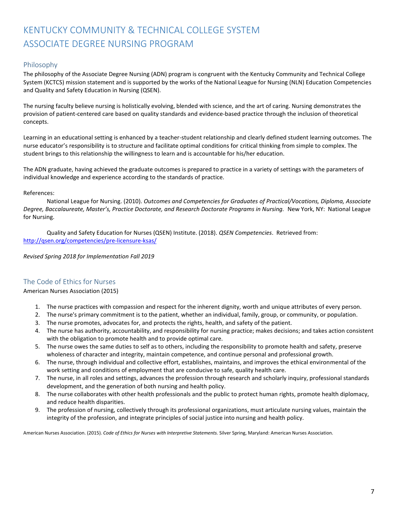# <span id="page-6-0"></span>KENTUCKY COMMUNITY & TECHNICAL COLLEGE SYSTEM ASSOCIATE DEGREE NURSING PROGRAM

## <span id="page-6-1"></span>Philosophy

The philosophy of the Associate Degree Nursing (ADN) program is congruent with the Kentucky Community and Technical College System (KCTCS) mission statement and is supported by the works of the National League for Nursing (NLN) Education Competencies and Quality and Safety Education in Nursing (QSEN).

The nursing faculty believe nursing is holistically evolving, blended with science, and the art of caring. Nursing demonstrates the provision of patient-centered care based on quality standards and evidence-based practice through the inclusion of theoretical concepts.

Learning in an educational setting is enhanced by a teacher-student relationship and clearly defined student learning outcomes. The nurse educator's responsibility is to structure and facilitate optimal conditions for critical thinking from simple to complex. The student brings to this relationship the willingness to learn and is accountable for his/her education.

The ADN graduate, having achieved the graduate outcomes is prepared to practice in a variety of settings with the parameters of individual knowledge and experience according to the standards of practice.

#### References:

National League for Nursing. (2010). *Outcomes and Competencies for Graduates of Practical/Vocations, Diploma, Associate*  Degree, Baccalaureate, Master's, Practice Doctorate, and Research Doctorate Programs in Nursing. New York, NY: National League for Nursing.

Quality and Safety Education for Nurses (QSEN) Institute. (2018). *QSEN Competencies*. Retrieved from: <http://qsen.org/competencies/pre-licensure-ksas/>

*Revised Spring 2018 for Implementation Fall 2019*

#### <span id="page-6-2"></span>The Code of Ethics for Nurses

#### American Nurses Association (2015)

- 1. The nurse practices with compassion and respect for the inherent dignity, worth and unique attributes of every person.
- 2. The nurse's primary commitment is to the patient, whether an individual, family, group, or community, or population.
- 3. The nurse promotes, advocates for, and protects the rights, health, and safety of the patient.
- 4. The nurse has authority, accountability, and responsibility for nursing practice; makes decisions; and takes action consistent with the obligation to promote health and to provide optimal care.
- 5. The nurse owes the same duties to self as to others, including the responsibility to promote health and safety, preserve wholeness of character and integrity, maintain competence, and continue personal and professional growth.
- 6. The nurse, through individual and collective effort, establishes, maintains, and improves the ethical environmental of the work setting and conditions of employment that are conducive to safe, quality health care.
- 7. The nurse, in all roles and settings, advances the profession through research and scholarly inquiry, professional standards development, and the generation of both nursing and health policy.
- 8. The nurse collaborates with other health professionals and the public to protect human rights, promote health diplomacy, and reduce health disparities.
- 9. The profession of nursing, collectively through its professional organizations, must articulate nursing values, maintain the integrity of the profession, and integrate principles of social justice into nursing and health policy.

American Nurses Association. (2015). *Code of Ethics for Nurses with Interpretive Statements.* Silver Spring, Maryland: American Nurses Association.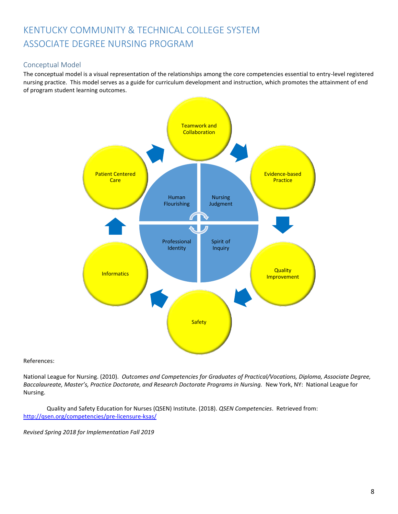# <span id="page-7-0"></span>KENTUCKY COMMUNITY & TECHNICAL COLLEGE SYSTEM ASSOCIATE DEGREE NURSING PROGRAM

# <span id="page-7-1"></span>Conceptual Model

The conceptual model is a visual representation of the relationships among the core competencies essential to entry-level registered nursing practice. This model serves as a guide for curriculum development and instruction, which promotes the attainment of end of program student learning outcomes.



#### References:

National League for Nursing. (2010). *Outcomes and Competencies for Graduates of Practical/Vocations, Diploma, Associate Degree,*  Baccalaureate, Master's, Practice Doctorate, and Research Doctorate Programs in Nursing. New York, NY: National League for Nursing.

Quality and Safety Education for Nurses (QSEN) Institute. (2018). *QSEN Competencies*. Retrieved from: <http://qsen.org/competencies/pre-licensure-ksas/>

*Revised Spring 2018 for Implementation Fall 2019*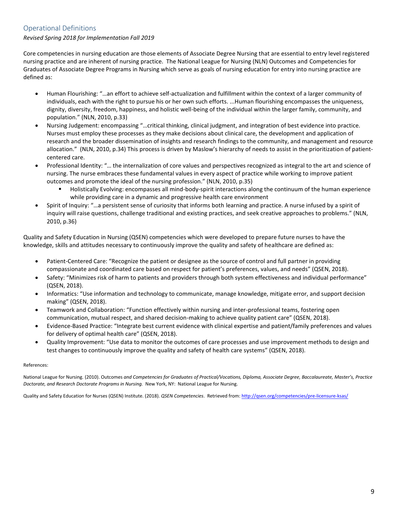# <span id="page-8-0"></span>Operational Definitions

#### *Revised Spring 2018 for Implementation Fall 2019*

Core competencies in nursing education are those elements of Associate Degree Nursing that are essential to entry level registered nursing practice and are inherent of nursing practice. The National League for Nursing (NLN) Outcomes and Competencies for Graduates of Associate Degree Programs in Nursing which serve as goals of nursing education for entry into nursing practice are defined as:

- Human Flourishing: "…an effort to achieve self-actualization and fulfillment within the context of a larger community of individuals, each with the right to pursue his or her own such efforts. ...Human flourishing encompasses the uniqueness, dignity, diversity, freedom, happiness, and holistic well-being of the individual within the larger family, community, and population." (NLN, 2010, p.33)
- Nursing Judgement: encompassing "…critical thinking, clinical judgment, and integration of best evidence into practice. Nurses must employ these processes as they make decisions about clinical care, the development and application of research and the broader dissemination of insights and research findings to the community, and management and resource allocation." (NLN, 2010, p.34) This process is driven by Maslow's hierarchy of needs to assist in the prioritization of patientcentered care.
- Professional Identity: "… the internalization of core values and perspectives recognized as integral to the art and science of nursing. The nurse embraces these fundamental values in every aspect of practice while working to improve patient outcomes and promote the ideal of the nursing profession." (NLN, 2010, p.35)
	- Holistically Evolving: encompasses all mind-body-spirit interactions along the continuum of the human experience while providing care in a dynamic and progressive health care environment
- Spirit of Inquiry: "…a persistent sense of curiosity that informs both learning and practice. A nurse infused by a spirit of inquiry will raise questions, challenge traditional and existing practices, and seek creative approaches to problems." (NLN, 2010, p.36)

Quality and Safety Education in Nursing (QSEN) competencies which were developed to prepare future nurses to have the knowledge, skills and attitudes necessary to continuously improve the quality and safety of healthcare are defined as:

- Patient-Centered Care: "Recognize the patient or designee as the source of control and full partner in providing compassionate and coordinated care based on respect for patient's preferences, values, and needs" (QSEN, 2018).
- Safety: "Minimizes risk of harm to patients and providers through both system effectiveness and individual performance" (QSEN, 2018).
- Informatics: "Use information and technology to communicate, manage knowledge, mitigate error, and support decision making" (QSEN, 2018).
- Teamwork and Collaboration: "Function effectively within nursing and inter-professional teams, fostering open communication, mutual respect, and shared decision-making to achieve quality patient care" (QSEN, 2018).
- Evidence-Based Practice: "Integrate best current evidence with clinical expertise and patient/family preferences and values for delivery of optimal health care" (QSEN, 2018).
- Quality Improvement: "Use data to monitor the outcomes of care processes and use improvement methods to design and test changes to continuously improve the quality and safety of health care systems" (QSEN, 2018).

#### References:

National League for Nursing. (2010). Outcomes *and Competencies for Graduates of Practical/Vocations, Diploma, Associate Degree, Baccalaureate, Master's, Practice Doctorate, and Research Doctorate Programs in Nursing.* New York, NY: National League for Nursing.

Quality and Safety Education for Nurses (QSEN) Institute. (2018). *QSEN Competencies*. Retrieved from[: http://qsen.org/competencies/pre-licensure-ksas/](http://qsen.org/competencies/pre-licensure-ksas/)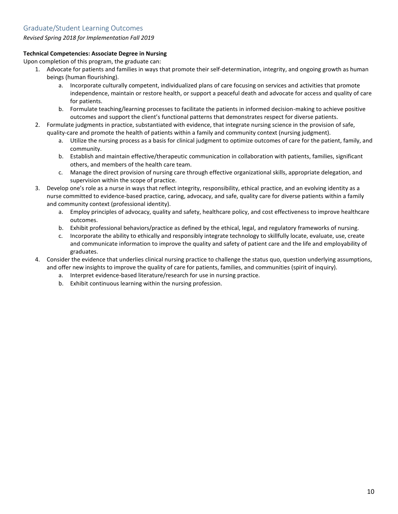# <span id="page-9-0"></span>Graduate/Student Learning Outcomes

#### *Revised Spring 2018 for Implementation Fall 2019*

#### **Technical Competencies: Associate Degree in Nursing**

Upon completion of this program, the graduate can:

- 1. Advocate for patients and families in ways that promote their self-determination, integrity, and ongoing growth as human beings (human flourishing).
	- a. Incorporate culturally competent, individualized plans of care focusing on services and activities that promote independence, maintain or restore health, or support a peaceful death and advocate for access and quality of care for patients.
	- b. Formulate teaching/learning processes to facilitate the patients in informed decision-making to achieve positive outcomes and support the client's functional patterns that demonstrates respect for diverse patients.
- 2. Formulate judgments in practice, substantiated with evidence, that integrate nursing science in the provision of safe, quality-care and promote the health of patients within a family and community context (nursing judgment).
	- a. Utilize the nursing process as a basis for clinical judgment to optimize outcomes of care for the patient, family, and community.
	- b. Establish and maintain effective/therapeutic communication in collaboration with patients, families, significant others, and members of the health care team.
	- c. Manage the direct provision of nursing care through effective organizational skills, appropriate delegation, and supervision within the scope of practice.
- 3. Develop one's role as a nurse in ways that reflect integrity, responsibility, ethical practice, and an evolving identity as a nurse committed to evidence-based practice, caring, advocacy, and safe, quality care for diverse patients within a family and community context (professional identity).
	- a. Employ principles of advocacy, quality and safety, healthcare policy, and cost effectiveness to improve healthcare outcomes.
	- b. Exhibit professional behaviors/practice as defined by the ethical, legal, and regulatory frameworks of nursing.
	- c. Incorporate the ability to ethically and responsibly integrate technology to skillfully locate, evaluate, use, create and communicate information to improve the quality and safety of patient care and the life and employability of graduates.
- 4. Consider the evidence that underlies clinical nursing practice to challenge the status quo, question underlying assumptions, and offer new insights to improve the quality of care for patients, families, and communities (spirit of inquiry).
	- a. Interpret evidence-based literature/research for use in nursing practice.
	- b. Exhibit continuous learning within the nursing profession.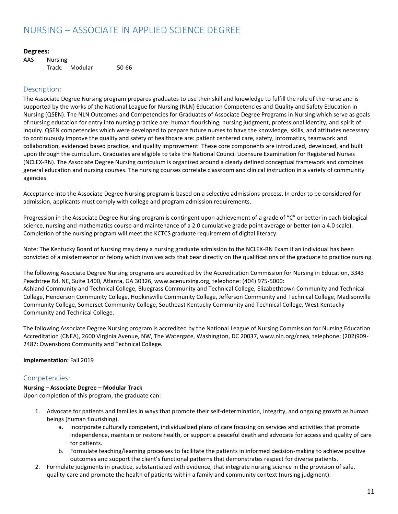# <span id="page-10-0"></span>NURSING – ASSOCIATE IN APPLIED SCIENCE DEGREE

#### **Degrees:**

AAS Nursing Track: Modular 50-66

### <span id="page-10-1"></span>Description:

The Associate Degree Nursing program prepares graduates to use their skill and knowledge to fulfill the role of the nurse and is supported by the works of the National League for Nursing (NLN) Education Competencies and Quality and Safety Education in Nursing (QSEN). The NLN Outcomes and Competencies for Graduates of Associate Degree Programs in Nursing which serve as goals of nursing education for entry into nursing practice are: human flourishing, nursing judgment, professional identity, and spirit of inquiry. QSEN competencies which were developed to prepare future nurses to have the knowledge, skills, and attitudes necessary to continuously improve the quality and safety of healthcare are: patient centered care, safety, informatics, teamwork and collaboration, evidenced based practice, and quality improvement. These core components are introduced, developed, and built upon through the curriculum. Graduates are eligible to take the National Council Licensure Examination for Registered Nurses (NCLEX-RN). The Associate Degree Nursing curriculum is organized around a clearly defined conceptual framework and combines general education and nursing courses. The nursing courses correlate classroom and clinical instruction in a variety of community agencies.

Acceptance into the Associate Degree Nursing program is based on a selective admissions process. In order to be considered for admission, applicants must comply with college and program admission requirements.

Progression in the Associate Degree Nursing program is contingent upon achievement of a grade of "C" or better in each biological science, nursing and mathematics course and maintenance of a 2.0 cumulative grade point average or better (on a 4.0 scale). Completion of the nursing program will meet the KCTCS graduate requirement of digital literacy.

Note: The Kentucky Board of Nursing may deny a nursing graduate admission to the NCLEX-RN Exam if an individual has been convicted of a misdemeanor or felony which involves acts that bear directly on the qualifications of the graduate to practice nursing.

The following Associate Degree Nursing programs are accredited by the Accreditation Commission for Nursing in Education, 3343 Peachtree Rd. NE, Suite 1400, Atlanta, GA 30326, www.acenursing.org, telephone: (404) 975-5000: Ashland Community and Technical College, Bluegrass Community and Technical College, Elizabethtown Community and Technical College, Henderson Community College, Hopkinsville Community College, Jefferson Community and Technical College, Madisonville Community College, Somerset Community College, Southeast Kentucky Community and Technical College, West Kentucky Community and Technical College.

The following Associate Degree Nursing program is accredited by the National League of Nursing Commission for Nursing Education Accreditation (CNEA), 2600 Virginia Avenue, NW, The Watergate, Washington, DC 20037, www.nln.org/cnea, telephone: (202)909- 2487: Owensboro Community and Technical College.

#### **Implementation:** Fall 2019

#### <span id="page-10-2"></span>Competencies:

#### **Nursing – Associate Degree – Modular Track**

Upon completion of this program, the graduate can:

- 1. Advocate for patients and families in ways that promote their self-determination, integrity, and ongoing growth as human beings (human flourishing).
	- a. Incorporate culturally competent, individualized plans of care focusing on services and activities that promote independence, maintain or restore health, or support a peaceful death and advocate for access and quality of care for patients.
	- b. Formulate teaching/learning processes to facilitate the patients in informed decision-making to achieve positive outcomes and support the client's functional patterns that demonstrates respect for diverse patients.
- 2. Formulate judgments in practice, substantiated with evidence, that integrate nursing science in the provision of safe, quality-care and promote the health of patients within a family and community context (nursing judgment).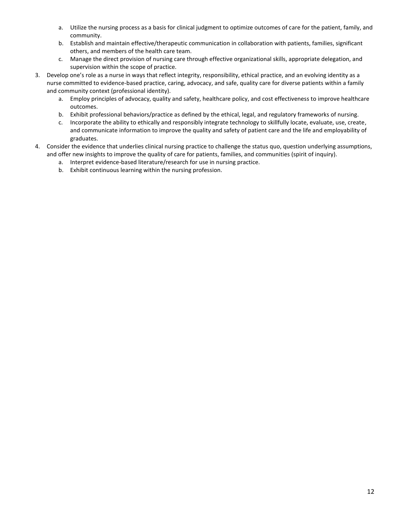- a. Utilize the nursing process as a basis for clinical judgment to optimize outcomes of care for the patient, family, and community.
- b. Establish and maintain effective/therapeutic communication in collaboration with patients, families, significant others, and members of the health care team.
- c. Manage the direct provision of nursing care through effective organizational skills, appropriate delegation, and supervision within the scope of practice.
- 3. Develop one's role as a nurse in ways that reflect integrity, responsibility, ethical practice, and an evolving identity as a nurse committed to evidence-based practice, caring, advocacy, and safe, quality care for diverse patients within a family and community context (professional identity).
	- a. Employ principles of advocacy, quality and safety, healthcare policy, and cost effectiveness to improve healthcare outcomes.
	- b. Exhibit professional behaviors/practice as defined by the ethical, legal, and regulatory frameworks of nursing.
	- c. Incorporate the ability to ethically and responsibly integrate technology to skillfully locate, evaluate, use, create, and communicate information to improve the quality and safety of patient care and the life and employability of graduates.
- 4. Consider the evidence that underlies clinical nursing practice to challenge the status quo, question underlying assumptions, and offer new insights to improve the quality of care for patients, families, and communities (spirit of inquiry).
	- a. Interpret evidence-based literature/research for use in nursing practice.
	- b. Exhibit continuous learning within the nursing profession.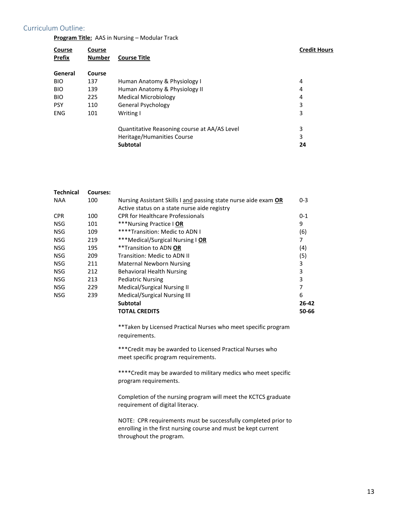#### <span id="page-12-0"></span>Curriculum Outline:

#### **Program Title:** AAS in Nursing – Modular Track

#### **Course Prefix Course Number Course Title Credit Hours General** BIO BIO BIO PSY ENG **Course** 137 139 225 110 101 Human Anatomy & Physiology I Human Anatomy & Physiology II Medical Microbiology General Psychology Writing I Quantitative Reasoning course at AA/AS Level Heritage/Humanities Course **Subtotal** 4 4 4 3 3 3 3 **24**

| <b>Technical</b> | Courses: |                                                                 |         |
|------------------|----------|-----------------------------------------------------------------|---------|
| <b>NAA</b>       | 100      | Nursing Assistant Skills I and passing state nurse aide exam OR | $0 - 3$ |
|                  |          | Active status on a state nurse aide registry                    |         |
| <b>CPR</b>       | 100      | <b>CPR for Healthcare Professionals</b>                         | $0 - 1$ |
| NSG              | 101      | ***Nursing Practice I OR                                        | 9       |
| NSG.             | 109      | ****Transition: Medic to ADN I                                  | (6)     |
| NSG              | 219      | ***Medical/Surgical Nursing I OR                                | 7       |
| NSG              | 195      | **Transition to ADN OR                                          | (4)     |
| NSG.             | 209      | Transition: Medic to ADN II                                     | (5)     |
| NSG.             | 211      | <b>Maternal Newborn Nursing</b>                                 | 3       |
| NSG              | 212      | <b>Behavioral Health Nursing</b>                                | 3       |
| NSG.             | 213      | <b>Pediatric Nursing</b>                                        | 3       |
| NSG.             | 229      | Medical/Surgical Nursing II                                     | 7       |
| NSG              | 239      | <b>Medical/Surgical Nursing III</b>                             | 6       |
|                  |          | <b>Subtotal</b>                                                 | 26-42   |
|                  |          | TOTAL CREDITS                                                   | 50-66   |

\*\*Taken by Licensed Practical Nurses who meet specific program requirements.

\*\*\*Credit may be awarded to Licensed Practical Nurses who meet specific program requirements.

\*\*\*\*Credit may be awarded to military medics who meet specific program requirements.

Completion of the nursing program will meet the KCTCS graduate requirement of digital literacy.

NOTE: CPR requirements must be successfully completed prior to enrolling in the first nursing course and must be kept current throughout the program.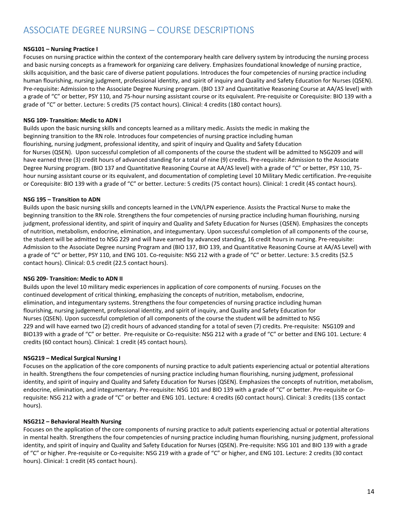# <span id="page-13-0"></span>ASSOCIATE DEGREE NURSING – COURSE DESCRIPTIONS

#### **NSG101 – Nursing Practice I**

Focuses on nursing practice within the context of the contemporary health care delivery system by introducing the nursing process and basic nursing concepts as a framework for organizing care delivery. Emphasizes foundational knowledge of nursing practice, skills acquisition, and the basic care of diverse patient populations. Introduces the four competencies of nursing practice including human flourishing, nursing judgment, professional identity, and spirit of inquiry and Quality and Safety Education for Nurses (QSEN). Pre-requisite: Admission to the Associate Degree Nursing program. (BIO 137 and Quantitative Reasoning Course at AA/AS level) with a grade of "C" or better, PSY 110, and 75-hour nursing assistant course or its equivalent. Pre-requisite or Corequisite: BIO 139 with a grade of "C" or better. Lecture: 5 credits (75 contact hours). Clinical: 4 credits (180 contact hours).

#### **NSG 109- Transition: Medic to ADN I**

Builds upon the basic nursing skills and concepts learned as a military medic. Assists the medic in making the beginning transition to the RN role. Introduces four competencies of nursing practice including human flourishing, nursing judgment, professional identity, and spirit of inquiry and Quality and Safety Education for Nurses (QSEN). Upon successful completion of all components of the course the student will be admitted to NSG209 and will have earned three (3) credit hours of advanced standing for a total of nine (9) credits. Pre-requisite: Admission to the Associate Degree Nursing program. (BIO 137 and Quantitative Reasoning Course at AA/AS level) with a grade of "C" or better, PSY 110, 75 hour nursing assistant course or its equivalent, and documentation of completing Level 10 Military Medic certification. Pre-requisite or Corequisite: BIO 139 with a grade of "C" or better. Lecture: 5 credits (75 contact hours). Clinical: 1 credit (45 contact hours).

#### **NSG 195 – Transition to ADN**

Builds upon the basic nursing skills and concepts learned in the LVN/LPN experience. Assists the Practical Nurse to make the beginning transition to the RN role. Strengthens the four competencies of nursing practice including human flourishing, nursing judgment, professional identity, and spirit of inquiry and Quality and Safety Education for Nurses (QSEN). Emphasizes the concepts of nutrition, metabolism, endocrine, elimination, and integumentary. Upon successful completion of all components of the course, the student will be admitted to NSG 229 and will have earned by advanced standing, 16 credit hours in nursing. Pre-requisite: Admission to the Associate Degree nursing Program and (BIO 137, BIO 139, and Quantitative Reasoning Course at AA/AS Level) with a grade of "C" or better, PSY 110, and ENG 101. Co-requisite: NSG 212 with a grade of "C" or better. Lecture: 3.5 credits (52.5 contact hours). Clinical: 0.5 credit (22.5 contact hours).

#### **NSG 209- Transition: Medic to ADN II**

Builds upon the level 10 military medic experiences in application of core components of nursing. Focuses on the continued development of critical thinking, emphasizing the concepts of nutrition, metabolism, endocrine, elimination, and integumentary systems. Strengthens the four competencies of nursing practice including human flourishing, nursing judgement, professional identity, and spirit of inquiry, and Quality and Safety Education for Nurses (QSEN). Upon successful completion of all components of the course the student will be admitted to NSG 229 and will have earned two (2) credit hours of advanced standing for a total of seven (7) credits. Pre-requisite: NSG109 and BIO139 with a grade of "C" or better. Pre-requisite or Co-requisite: NSG 212 with a grade of "C" or better and ENG 101. Lecture: 4 credits (60 contact hours). Clinical: 1 credit (45 contact hours).

#### **NSG219 – Medical Surgical Nursing I**

Focuses on the application of the core components of nursing practice to adult patients experiencing actual or potential alterations in health. Strengthens the four competencies of nursing practice including human flourishing, nursing judgment, professional identity, and spirit of inquiry and Quality and Safety Education for Nurses (QSEN). Emphasizes the concepts of nutrition, metabolism, endocrine, elimination, and integumentary. Pre-requisite: NSG 101 and BIO 139 with a grade of "C" or better. Pre-requisite or Corequisite: NSG 212 with a grade of "C" or better and ENG 101. Lecture: 4 credits (60 contact hours). Clinical: 3 credits (135 contact hours).

#### **NSG212 – Behavioral Health Nursing**

Focuses on the application of the core components of nursing practice to adult patients experiencing actual or potential alterations in mental health. Strengthens the four competencies of nursing practice including human flourishing, nursing judgment, professional identity, and spirit of inquiry and Quality and Safety Education for Nurses (QSEN). Pre-requisite: NSG 101 and BIO 139 with a grade of "C" or higher. Pre-requisite or Co-requisite: NSG 219 with a grade of "C" or higher, and ENG 101. Lecture: 2 credits (30 contact hours). Clinical: 1 credit (45 contact hours).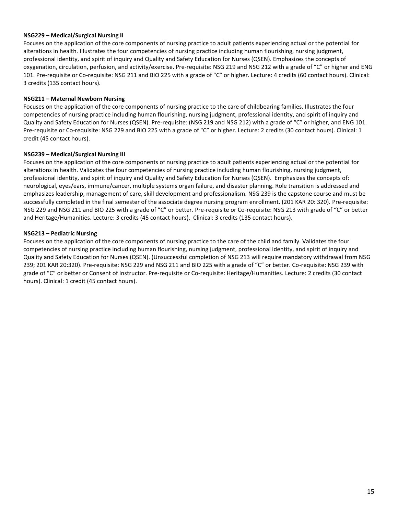#### **NSG229 – Medical/Surgical Nursing II**

Focuses on the application of the core components of nursing practice to adult patients experiencing actual or the potential for alterations in health. Illustrates the four competencies of nursing practice including human flourishing, nursing judgment, professional identity, and spirit of inquiry and Quality and Safety Education for Nurses (QSEN). Emphasizes the concepts of oxygenation, circulation, perfusion, and activity/exercise. Pre-requisite: NSG 219 and NSG 212 with a grade of "C" or higher and ENG 101. Pre-requisite or Co-requisite: NSG 211 and BIO 225 with a grade of "C" or higher. Lecture: 4 credits (60 contact hours). Clinical: 3 credits (135 contact hours).

#### **NSG211 – Maternal Newborn Nursing**

Focuses on the application of the core components of nursing practice to the care of childbearing families. Illustrates the four competencies of nursing practice including human flourishing, nursing judgment, professional identity, and spirit of inquiry and Quality and Safety Education for Nurses (QSEN). Pre-requisite: (NSG 219 and NSG 212) with a grade of "C" or higher, and ENG 101. Pre-requisite or Co-requisite: NSG 229 and BIO 225 with a grade of "C" or higher. Lecture: 2 credits (30 contact hours). Clinical: 1 credit (45 contact hours).

#### **NSG239 – Medical/Surgical Nursing III**

Focuses on the application of the core components of nursing practice to adult patients experiencing actual or the potential for alterations in health. Validates the four competencies of nursing practice including human flourishing, nursing judgment, professional identity, and spirit of inquiry and Quality and Safety Education for Nurses (QSEN). Emphasizes the concepts of: neurological, eyes/ears, immune/cancer, multiple systems organ failure, and disaster planning. Role transition is addressed and emphasizes leadership, management of care, skill development and professionalism. NSG 239 is the capstone course and must be successfully completed in the final semester of the associate degree nursing program enrollment. (201 KAR 20: 320). Pre-requisite: NSG 229 and NSG 211 and BIO 225 with a grade of "C" or better. Pre-requisite or Co-requisite: NSG 213 with grade of "C" or better and Heritage/Humanities. Lecture: 3 credits (45 contact hours). Clinical: 3 credits (135 contact hours).

#### **NSG213 – Pediatric Nursing**

Focuses on the application of the core components of nursing practice to the care of the child and family. Validates the four competencies of nursing practice including human flourishing, nursing judgment, professional identity, and spirit of inquiry and Quality and Safety Education for Nurses (QSEN). (Unsuccessful completion of NSG 213 will require mandatory withdrawal from NSG 239; 201 KAR 20:320). Pre-requisite: NSG 229 and NSG 211 and BIO 225 with a grade of "C" or better. Co-requisite: NSG 239 with grade of "C" or better or Consent of Instructor. Pre-requisite or Co-requisite: Heritage/Humanities. Lecture: 2 credits (30 contact hours). Clinical: 1 credit (45 contact hours).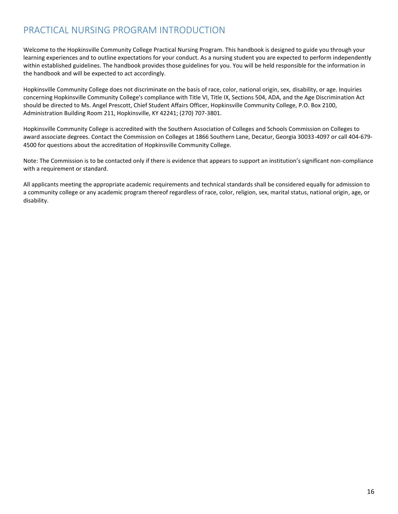# <span id="page-15-0"></span>PRACTICAL NURSING PROGRAM INTRODUCTION

Welcome to the Hopkinsville Community College Practical Nursing Program. This handbook is designed to guide you through your learning experiences and to outline expectations for your conduct. As a nursing student you are expected to perform independently within established guidelines. The handbook provides those guidelines for you. You will be held responsible for the information in the handbook and will be expected to act accordingly.

Hopkinsville Community College does not discriminate on the basis of race, color, national origin, sex, disability, or age. Inquiries concerning Hopkinsville Community College's compliance with Title VI, Title IX, Sections 504, ADA, and the Age Discrimination Act should be directed to Ms. Angel Prescott, Chief Student Affairs Officer, Hopkinsville Community College, P.O. Box 2100, Administration Building Room 211, Hopkinsville, KY 42241; (270) 707-3801.

Hopkinsville Community College is accredited with the Southern Association of Colleges and Schools Commission on Colleges to award associate degrees. Contact the Commission on Colleges at 1866 Southern Lane, Decatur, Georgia 30033-4097 or call 404-679- 4500 for questions about the accreditation of Hopkinsville Community College.

Note: The Commission is to be contacted only if there is evidence that appears to support an institution's significant non-compliance with a requirement or standard.

All applicants meeting the appropriate academic requirements and technical standards shall be considered equally for admission to a community college or any academic program thereof regardless of race, color, religion, sex, marital status, national origin, age, or disability.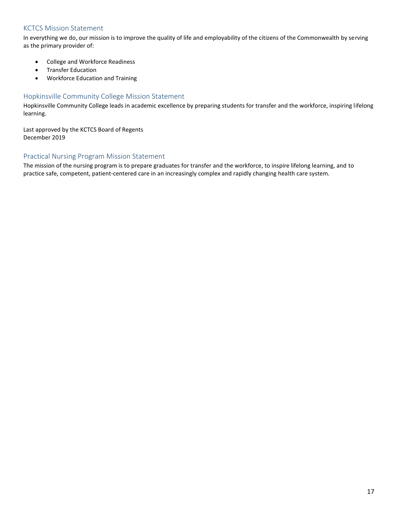# <span id="page-16-0"></span>KCTCS Mission Statement

In everything we do, our mission is to improve the quality of life and employability of the citizens of the Commonwealth by serving as the primary provider of:

- College and Workforce Readiness
- Transfer Education
- Workforce Education and Training

### <span id="page-16-1"></span>Hopkinsville Community College Mission Statement

Hopkinsville Community College leads in academic excellence by preparing students for transfer and the workforce, inspiring lifelong learning.

Last approved by the KCTCS Board of Regents December 2019

#### <span id="page-16-2"></span>Practical Nursing Program Mission Statement

The mission of the nursing program is to prepare graduates for transfer and the workforce, to inspire lifelong learning, and to practice safe, competent, patient-centered care in an increasingly complex and rapidly changing health care system.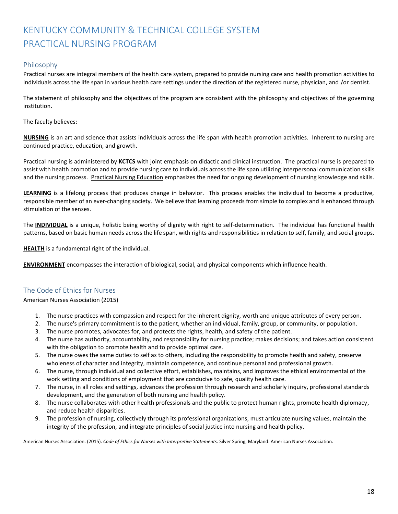# <span id="page-17-0"></span>KENTUCKY COMMUNITY & TECHNICAL COLLEGE SYSTEM PRACTICAL NURSING PROGRAM

### <span id="page-17-1"></span>Philosophy

Practical nurses are integral members of the health care system, prepared to provide nursing care and health promotion activities to individuals across the life span in various health care settings under the direction of the registered nurse, physician, and /or dentist.

The statement of philosophy and the objectives of the program are consistent with the philosophy and objectives of the governing institution.

The faculty believes:

**NURSING** is an art and science that assists individuals across the life span with health promotion activities. Inherent to nursing are continued practice, education, and growth.

Practical nursing is administered by **KCTCS** with joint emphasis on didactic and clinical instruction. The practical nurse is prepared to assist with health promotion and to provide nursing care to individuals across the life span utilizing interpersonal communication skills and the nursing process. Practical Nursing Education emphasizes the need for ongoing development of nursing knowledge and skills.

**LEARNING** is a lifelong process that produces change in behavior. This process enables the individual to become a productive, responsible member of an ever-changing society. We believe that learning proceeds from simple to complex and is enhanced through stimulation of the senses.

The **INDIVIDUAL** is a unique, holistic being worthy of dignity with right to self-determination. The individual has functional health patterns, based on basic human needs across the life span, with rights and responsibilities in relation to self, family, and social groups.

**HEALTH** is a fundamental right of the individual.

**ENVIRONMENT** encompasses the interaction of biological, social, and physical components which influence health.

#### <span id="page-17-2"></span>The Code of Ethics for Nurses

American Nurses Association (2015)

- 1. The nurse practices with compassion and respect for the inherent dignity, worth and unique attributes of every person.
- 2. The nurse's primary commitment is to the patient, whether an individual, family, group, or community, or population.
- 3. The nurse promotes, advocates for, and protects the rights, health, and safety of the patient.
- 4. The nurse has authority, accountability, and responsibility for nursing practice; makes decisions; and takes action consistent with the obligation to promote health and to provide optimal care.
- 5. The nurse owes the same duties to self as to others, including the responsibility to promote health and safety, preserve wholeness of character and integrity, maintain competence, and continue personal and professional growth.
- 6. The nurse, through individual and collective effort, establishes, maintains, and improves the ethical environmental of the work setting and conditions of employment that are conducive to safe, quality health care.
- 7. The nurse, in all roles and settings, advances the profession through research and scholarly inquiry, professional standards development, and the generation of both nursing and health policy.
- 8. The nurse collaborates with other health professionals and the public to protect human rights, promote health diplomacy, and reduce health disparities.
- 9. The profession of nursing, collectively through its professional organizations, must articulate nursing values, maintain the integrity of the profession, and integrate principles of social justice into nursing and health policy.

American Nurses Association. (2015). *Code of Ethics for Nurses with Interpretive Statements.* Silver Spring, Maryland: American Nurses Association.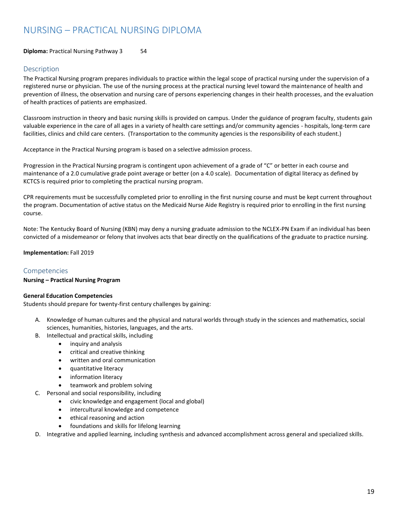# <span id="page-18-0"></span>NURSING – PRACTICAL NURSING DIPLOMA

#### **Diploma: Practical Nursing Pathway 3 54**

#### <span id="page-18-1"></span>Description

The Practical Nursing program prepares individuals to practice within the legal scope of practical nursing under the supervision of a registered nurse or physician. The use of the nursing process at the practical nursing level toward the maintenance of health and prevention of illness, the observation and nursing care of persons experiencing changes in their health processes, and the evaluation of health practices of patients are emphasized.

Classroom instruction in theory and basic nursing skills is provided on campus. Under the guidance of program faculty, students gain valuable experience in the care of all ages in a variety of health care settings and/or community agencies - hospitals, long-term care facilities, clinics and child care centers. (Transportation to the community agencies is the responsibility of each student.)

Acceptance in the Practical Nursing program is based on a selective admission process.

Progression in the Practical Nursing program is contingent upon achievement of a grade of "C" or better in each course and maintenance of a 2.0 cumulative grade point average or better (on a 4.0 scale). Documentation of digital literacy as defined by KCTCS is required prior to completing the practical nursing program.

CPR requirements must be successfully completed prior to enrolling in the first nursing course and must be kept current throughout the program. Documentation of active status on the Medicaid Nurse Aide Registry is required prior to enrolling in the first nursing course.

Note: The Kentucky Board of Nursing (KBN) may deny a nursing graduate admission to the NCLEX-PN Exam if an individual has been convicted of a misdemeanor or felony that involves acts that bear directly on the qualifications of the graduate to practice nursing.

#### **Implementation:** Fall 2019

#### <span id="page-18-2"></span>Competencies

#### **Nursing – Practical Nursing Program**

#### **General Education Competencies**

Students should prepare for twenty-first century challenges by gaining:

- A. Knowledge of human cultures and the physical and natural worlds through study in the sciences and mathematics, social sciences, humanities, histories, languages, and the arts.
- B. Intellectual and practical skills, including
	- inquiry and analysis
	- critical and creative thinking
	- written and oral communication
	- quantitative literacy
	- information literacy
	- teamwork and problem solving
- C. Personal and social responsibility, including
	- civic knowledge and engagement (local and global)
	- intercultural knowledge and competence
	- ethical reasoning and action
	- foundations and skills for lifelong learning
- D. Integrative and applied learning, including synthesis and advanced accomplishment across general and specialized skills.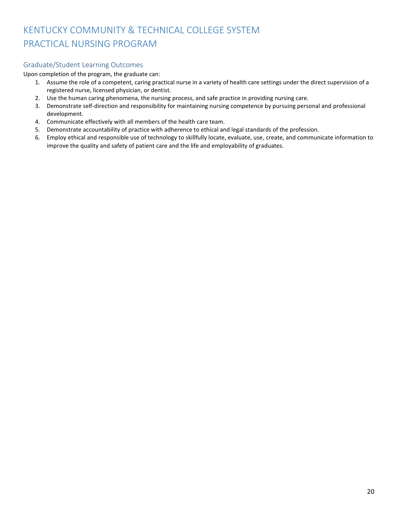# <span id="page-19-0"></span>KENTUCKY COMMUNITY & TECHNICAL COLLEGE SYSTEM PRACTICAL NURSING PROGRAM

# <span id="page-19-1"></span>Graduate/Student Learning Outcomes

Upon completion of the program, the graduate can:

- 1. Assume the role of a competent, caring practical nurse in a variety of health care settings under the direct supervision of a registered nurse, licensed physician, or dentist.
- 2. Use the human caring phenomena, the nursing process, and safe practice in providing nursing care.
- 3. Demonstrate self-direction and responsibility for maintaining nursing competence by pursuing personal and professional development.
- 4. Communicate effectively with all members of the health care team.
- 5. Demonstrate accountability of practice with adherence to ethical and legal standards of the profession.
- 6. Employ ethical and responsible use of technology to skillfully locate, evaluate, use, create, and communicate information to improve the quality and safety of patient care and the life and employability of graduates.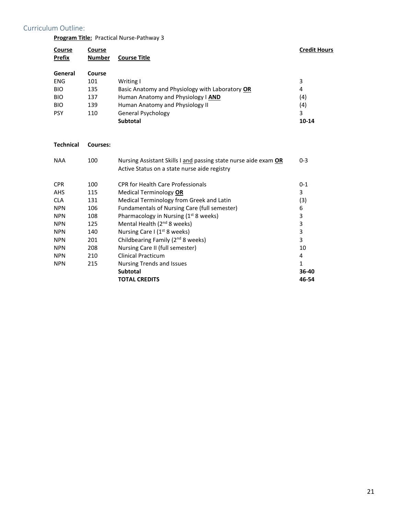# <span id="page-20-0"></span>Curriculum Outline:

# **Program Title:** Practical Nurse-Pathway 3

| Course<br>Prefix | Course<br><b>Number</b> | <b>Course Title</b>                             | <b>Credit Hours</b> |
|------------------|-------------------------|-------------------------------------------------|---------------------|
| General          | Course                  |                                                 |                     |
| ENG              | 101                     | Writing I                                       | 3                   |
| <b>BIO</b>       | 135                     | Basic Anatomy and Physiology with Laboratory OR | 4                   |
| <b>BIO</b>       | 137                     | Human Anatomy and Physiology I AND              | (4)                 |
| <b>BIO</b>       | 139                     | Human Anatomy and Physiology II                 | (4)                 |
| <b>PSY</b>       | 110                     | General Psychology                              | 3                   |
|                  |                         | <b>Subtotal</b>                                 | 10-14               |
|                  |                         |                                                 |                     |

| <b>Courses:</b> |                                                                                                                 |              |
|-----------------|-----------------------------------------------------------------------------------------------------------------|--------------|
| 100             | Nursing Assistant Skills I and passing state nurse aide exam OR<br>Active Status on a state nurse aide registry | $0 - 3$      |
| 100             | <b>CPR for Health Care Professionals</b>                                                                        | $0 - 1$      |
| 115             | Medical Terminology OR                                                                                          | 3            |
| 131             | Medical Terminology from Greek and Latin                                                                        | (3)          |
| 106             | Fundamentals of Nursing Care (full semester)                                                                    | 6            |
| 108             | Pharmacology in Nursing $(1st 8$ weeks)                                                                         | 3            |
| 125             | Mental Health (2 <sup>nd</sup> 8 weeks)                                                                         | 3            |
| 140             | Nursing Care I ( $1st$ 8 weeks)                                                                                 | 3            |
| 201             | Childbearing Family (2 <sup>nd</sup> 8 weeks)                                                                   | 3            |
| 208             | Nursing Care II (full semester)                                                                                 | 10           |
| 210             | <b>Clinical Practicum</b>                                                                                       | 4            |
| 215             | <b>Nursing Trends and Issues</b>                                                                                | $\mathbf{1}$ |
|                 | <b>Subtotal</b>                                                                                                 | 36-40        |
|                 | <b>TOTAL CREDITS</b>                                                                                            | 46-54        |
|                 |                                                                                                                 |              |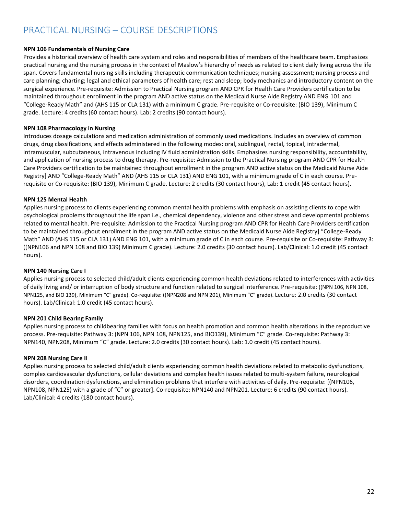# <span id="page-21-0"></span>PRACTICAL NURSING – COURSE DESCRIPTIONS

#### **NPN 106 Fundamentals of Nursing Care**

Provides a historical overview of health care system and roles and responsibilities of members of the healthcare team. Emphasizes practical nursing and the nursing process in the context of Maslow's hierarchy of needs as related to client daily living across the life span. Covers fundamental nursing skills including therapeutic communication techniques; nursing assessment; nursing process and care planning; charting; legal and ethical parameters of health care; rest and sleep; body mechanics and introductory content on the surgical experience. Pre-requisite: Admission to Practical Nursing program AND CPR for Health Care Providers certification to be maintained throughout enrollment in the program AND active status on the Medicaid Nurse Aide Registry AND ENG 101 and "College-Ready Math" and (AHS 115 or CLA 131) with a minimum C grade. Pre-requisite or Co-requisite: (BIO 139), Minimum C grade. Lecture: 4 credits (60 contact hours). Lab: 2 credits (90 contact hours).

#### **NPN 108 Pharmacology in Nursing**

Introduces dosage calculations and medication administration of commonly used medications. Includes an overview of common drugs, drug classifications, and effects administered in the following modes: oral, sublingual, rectal, topical, intradermal, intramuscular, subcutaneous, intravenous including IV fluid administration skills. Emphasizes nursing responsibility, accountability, and application of nursing process to drug therapy. Pre-requisite: Admission to the Practical Nursing program AND CPR for Health Care Providers certification to be maintained throughout enrollment in the program AND active status on the Medicaid Nurse Aide Registry] AND "College-Ready Math" AND (AHS 115 or CLA 131) AND ENG 101, with a minimum grade of C in each course. Prerequisite or Co-requisite: (BIO 139), Minimum C grade. Lecture: 2 credits (30 contact hours), Lab: 1 credit (45 contact hours).

#### **NPN 125 Mental Health**

Applies nursing process to clients experiencing common mental health problems with emphasis on assisting clients to cope with psychological problems throughout the life span i.e., chemical dependency, violence and other stress and developmental problems related to mental health. Pre-requisite: Admission to the Practical Nursing program AND CPR for Health Care Providers certification to be maintained throughout enrollment in the program AND active status on the Medicaid Nurse Aide Registry] "College-Ready Math" AND (AHS 115 or CLA 131) AND ENG 101, with a minimum grade of C in each course. Pre-requisite or Co-requisite: Pathway 3: ((NPN106 and NPN 108 and BIO 139) Minimum C grade). Lecture: 2.0 credits (30 contact hours). Lab/Clinical: 1.0 credit (45 contact hours).

#### **NPN 140 Nursing Care I**

Applies nursing process to selected child/adult clients experiencing common health deviations related to interferences with activities of daily living and/ or interruption of body structure and function related to surgical interference. Pre-requisite: ((NPN 106, NPN 108, NPN125, and BIO 139), Minimum "C" grade). Co-requisite: ((NPN208 and NPN 201), Minimum "C" grade). Lecture: 2.0 credits (30 contact hours). Lab/Clinical: 1.0 credit (45 contact hours).

#### **NPN 201 Child Bearing Family**

Applies nursing process to childbearing families with focus on health promotion and common health alterations in the reproductive process. Pre-requisite: Pathway 3: (NPN 106, NPN 108, NPN125, and BIO139), Minimum "C" grade. Co-requisite: Pathway 3: NPN140, NPN208, Minimum "C" grade. Lecture: 2.0 credits (30 contact hours). Lab: 1.0 credit (45 contact hours).

#### **NPN 208 Nursing Care II**

Applies nursing process to selected child/adult clients experiencing common health deviations related to metabolic dysfunctions, complex cardiovascular dysfunctions, cellular deviations and complex health issues related to multi-system failure, neurological disorders, coordination dysfunctions, and elimination problems that interfere with activities of daily. Pre-requisite: [(NPN106, NPN108, NPN125) with a grade of "C" or greater]. Co-requisite: NPN140 and NPN201. Lecture: 6 credits (90 contact hours). Lab/Clinical: 4 credits (180 contact hours).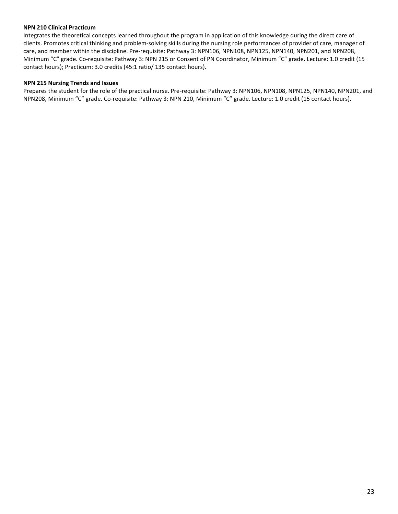#### **NPN 210 Clinical Practicum**

Integrates the theoretical concepts learned throughout the program in application of this knowledge during the direct care of clients. Promotes critical thinking and problem-solving skills during the nursing role performances of provider of care, manager of care, and member within the discipline. Pre-requisite: Pathway 3: NPN106, NPN108, NPN125, NPN140, NPN201, and NPN208, Minimum "C" grade. Co-requisite: Pathway 3: NPN 215 or Consent of PN Coordinator, Minimum "C" grade. Lecture: 1.0 credit (15 contact hours); Practicum: 3.0 credits (45:1 ratio/ 135 contact hours).

#### **NPN 215 Nursing Trends and Issues**

Prepares the student for the role of the practical nurse. Pre-requisite: Pathway 3: NPN106, NPN108, NPN125, NPN140, NPN201, and NPN208, Minimum "C" grade. Co-requisite: Pathway 3: NPN 210, Minimum "C" grade. Lecture: 1.0 credit (15 contact hours).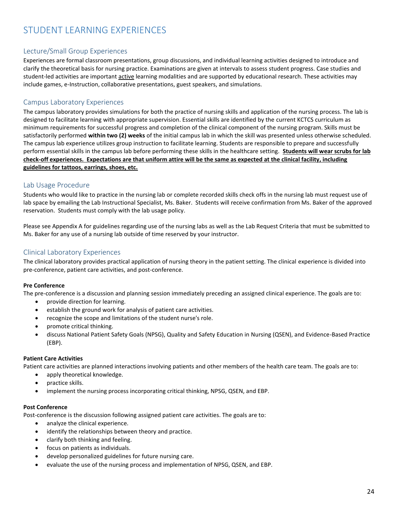# <span id="page-23-0"></span>STUDENT LEARNING EXPERIENCES

### <span id="page-23-1"></span>Lecture/Small Group Experiences

Experiences are formal classroom presentations, group discussions, and individual learning activities designed to introduce and clarify the theoretical basis for nursing practice. Examinations are given at intervals to assess student progress. Case studies and student-led activities are important active learning modalities and are supported by educational research. These activities may include games, e-Instruction, collaborative presentations, guest speakers, and simulations.

## <span id="page-23-2"></span>Campus Laboratory Experiences

The campus laboratory provides simulations for both the practice of nursing skills and application of the nursing process. The lab is designed to facilitate learning with appropriate supervision. Essential skills are identified by the current KCTCS curriculum as minimum requirements for successful progress and completion of the clinical component of the nursing program. Skills must be satisfactorily performed **within two (2) weeks** of the initial campus lab in which the skill was presented unless otherwise scheduled. The campus lab experience utilizes group instruction to facilitate learning. Students are responsible to prepare and successfully perform essential skills in the campus lab before performing these skills in the healthcare setting. **Students will wear scrubs for lab check-off experiences. Expectations are that uniform attire will be the same as expected at the clinical facility, including guidelines for tattoos, earrings, shoes, etc.**

### <span id="page-23-3"></span>Lab Usage Procedure

Students who would like to practice in the nursing lab or complete recorded skills check offs in the nursing lab must request use of lab space by emailing the Lab Instructional Specialist, Ms. Baker. Students will receive confirmation from Ms. Baker of the approved reservation. Students must comply with the lab usage policy.

Please see Appendix A for guidelines regarding use of the nursing labs as well as the Lab Request Criteria that must be submitted to Ms. Baker for any use of a nursing lab outside of time reserved by your instructor.

# <span id="page-23-4"></span>Clinical Laboratory Experiences

The clinical laboratory provides practical application of nursing theory in the patient setting. The clinical experience is divided into pre-conference, patient care activities, and post-conference.

#### **Pre Conference**

The pre-conference is a discussion and planning session immediately preceding an assigned clinical experience. The goals are to:

- provide direction for learning.
- establish the ground work for analysis of patient care activities.
- recognize the scope and limitations of the student nurse's role.
- promote critical thinking.
- discuss National Patient Safety Goals (NPSG), Quality and Safety Education in Nursing (QSEN), and Evidence-Based Practice (EBP).

#### **Patient Care Activities**

Patient care activities are planned interactions involving patients and other members of the health care team. The goals are to:

- apply theoretical knowledge.
- practice skills.
- implement the nursing process incorporating critical thinking, NPSG, QSEN, and EBP.

#### **Post Conference**

Post-conference is the discussion following assigned patient care activities. The goals are to:

- analyze the clinical experience.
- identify the relationships between theory and practice.
- clarify both thinking and feeling.
- focus on patients as individuals.
- develop personalized guidelines for future nursing care.
- evaluate the use of the nursing process and implementation of NPSG, QSEN, and EBP.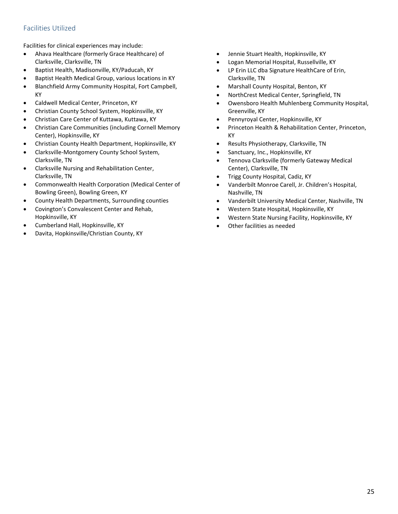# <span id="page-24-0"></span>Facilities Utilized

Facilities for clinical experiences may include:

- Ahava Healthcare (formerly Grace Healthcare) of Clarksville, Clarksville, TN
- Baptist Health, Madisonville, KY/Paducah, KY
- Baptist Health Medical Group, various locations in KY
- Blanchfield Army Community Hospital, Fort Campbell, KY
- Caldwell Medical Center, Princeton, KY
- Christian County School System, Hopkinsville, KY
- Christian Care Center of Kuttawa, Kuttawa, KY
- Christian Care Communities (including Cornell Memory Center), Hopkinsville, KY
- Christian County Health Department, Hopkinsville, KY
- Clarksville-Montgomery County School System, Clarksville, TN
- Clarksville Nursing and Rehabilitation Center, Clarksville, TN
- Commonwealth Health Corporation (Medical Center of Bowling Green), Bowling Green, KY
- County Health Departments, Surrounding counties
- Covington's Convalescent Center and Rehab, Hopkinsville, KY
- Cumberland Hall, Hopkinsville, KY
- Davita, Hopkinsville/Christian County, KY
- Jennie Stuart Health, Hopkinsville, KY
- Logan Memorial Hospital, Russellville, KY
- LP Erin LLC dba Signature HealthCare of Erin, Clarksville, TN
- Marshall County Hospital, Benton, KY
- NorthCrest Medical Center, Springfield, TN
- Owensboro Health Muhlenberg Community Hospital, Greenville, KY
- Pennyroyal Center, Hopkinsville, KY
- Princeton Health & Rehabilitation Center, Princeton, KY
- Results Physiotherapy, Clarksville, TN
- Sanctuary, Inc., Hopkinsville, KY
- Tennova Clarksville (formerly Gateway Medical Center), Clarksville, TN
- Trigg County Hospital, Cadiz, KY
- Vanderbilt Monroe Carell, Jr. Children's Hospital, Nashville, TN
- Vanderbilt University Medical Center, Nashville, TN
- Western State Hospital, Hopkinsville, KY
- Western State Nursing Facility, Hopkinsville, KY
- Other facilities as needed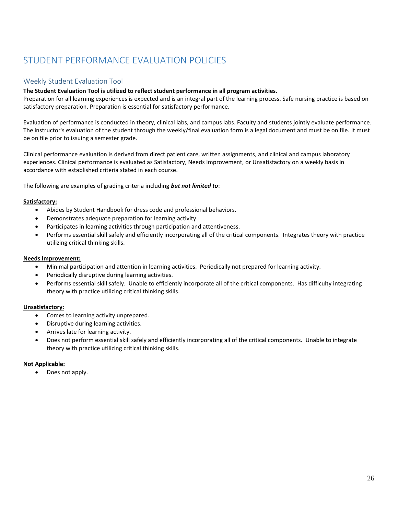# <span id="page-25-0"></span>STUDENT PERFORMANCE EVALUATION POLICIES

# <span id="page-25-1"></span>Weekly Student Evaluation Tool

#### **The Student Evaluation Tool is utilized to reflect student performance in all program activities.**

Preparation for all learning experiences is expected and is an integral part of the learning process. Safe nursing practice is based on satisfactory preparation. Preparation is essential for satisfactory performance.

Evaluation of performance is conducted in theory, clinical labs, and campus labs. Faculty and students jointly evaluate performance. The instructor's evaluation of the student through the weekly/final evaluation form is a legal document and must be on file. It must be on file prior to issuing a semester grade.

Clinical performance evaluation is derived from direct patient care, written assignments, and clinical and campus laboratory experiences. Clinical performance is evaluated as Satisfactory, Needs Improvement, or Unsatisfactory on a weekly basis in accordance with established criteria stated in each course.

The following are examples of grading criteria including *but not limited to*:

#### **Satisfactory:**

- Abides by Student Handbook for dress code and professional behaviors.
- Demonstrates adequate preparation for learning activity.
- Participates in learning activities through participation and attentiveness.
- Performs essential skill safely and efficiently incorporating all of the critical components. Integrates theory with practice utilizing critical thinking skills.

#### **Needs Improvement:**

- Minimal participation and attention in learning activities. Periodically not prepared for learning activity.
- Periodically disruptive during learning activities.
- Performs essential skill safely. Unable to efficiently incorporate all of the critical components. Has difficulty integrating theory with practice utilizing critical thinking skills.

#### **Unsatisfactory:**

- Comes to learning activity unprepared.
- Disruptive during learning activities.
- Arrives late for learning activity.
- Does not perform essential skill safely and efficiently incorporating all of the critical components. Unable to integrate theory with practice utilizing critical thinking skills.

#### **Not Applicable:**

• Does not apply.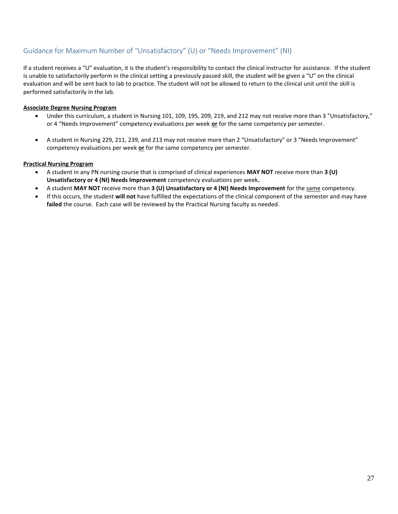# <span id="page-26-0"></span>Guidance for Maximum Number of "Unsatisfactory" (U) or "Needs Improvement" (NI)

If a student receives a "U" evaluation, it is the student's responsibility to contact the clinical instructor for assistance. If the student is unable to satisfactorily perform in the clinical setting a previously passed skill, the student will be given a "U" on the clinical evaluation and will be sent back to lab to practice. The student will not be allowed to return to the clinical unit until the skill is performed satisfactorily in the lab.

#### **Associate Degree Nursing Program**

- Under this curriculum, a student in Nursing 101, 109, 195, 209, 219, and 212 may not receive more than 3 "Unsatisfactory," or 4 "Needs Improvement" competency evaluations per week **or** for the same competency per semester.
- A student in Nursing 229, 211, 239, and 213 may not receive more than 2 "Unsatisfactory" or 3 "Needs Improvement" competency evaluations per week **or** for the same competency per semester.

#### **Practical Nursing Program**

- A student in any PN nursing course that is comprised of clinical experiences **MAY NOT** receive more than **3 (U) Unsatisfactory or 4 (NI) Needs Improvement** competency evaluations per week**.**
- A student **MAY NOT** receive more than **3 (U) Unsatisfactory or 4 (NI) Needs Improvement** for the same competency.
- If this occurs, the student **will not** have fulfilled the expectations of the clinical component of the semester and may have **failed** the course. Each case will be reviewed by the Practical Nursing faculty as needed.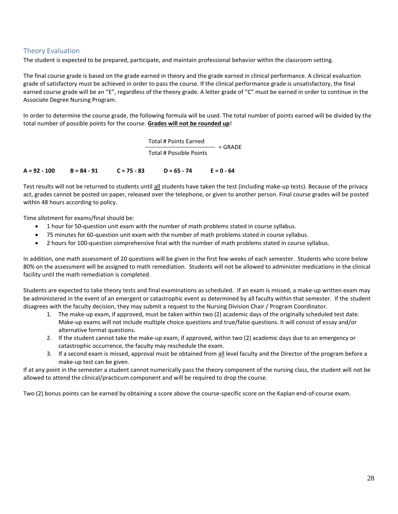### <span id="page-27-0"></span>Theory Evaluation

The student is expected to be prepared, participate, and maintain professional behavior within the classroom setting.

The final course grade is based on the grade earned in theory and the grade earned in clinical performance. A clinical evaluation grade of satisfactory must be achieved in order to pass the course. If the clinical performance grade is unsatisfactory, the final earned course grade will be an "E", regardless of the theory grade. A letter grade of "C" must be earned in order to continue in the Associate Degree Nursing Program.

In order to determine the course grade, the following formula will be used. The total number of points earned will be divided by the total number of possible points for the course. **Grades will not be rounded up**!

> Total # Points Earned  $=$   $GRADE$ Total # Possible Points

**A = 92 - 100 B = 84 - 91 C = 75 - 83 D = 65 - 74 E = 0 - 64**

Test results will not be returned to students until all students have taken the test (including make-up tests). Because of the privacy act, grades cannot be posted on paper, released over the telephone, or given to another person. Final course grades will be posted within 48 hours according to policy.

Time allotment for exams/final should be:

- 1 hour for 50-question unit exam with the number of math problems stated in course syllabus.
- 75 minutes for 60-question unit exam with the number of math problems stated in course syllabus.
- 2 hours for 100-question comprehensive final with the number of math problems stated in course syllabus.

In addition, one math assessment of 20 questions will be given in the first few weeks of each semester. Students who score below 80% on the assessment will be assigned to math remediation. Students will not be allowed to administer medications in the clinical facility until the math remediation is completed.

Students are expected to take theory tests and final examinations as scheduled. If an exam is missed, a make-up written exam may be administered in the event of an emergent or catastrophic event as determined by all faculty within that semester. If the student disagrees with the faculty decision, they may submit a request to the Nursing Division Chair / Program Coordinator.

- 1. The make-up exam, if approved, must be taken within two (2) academic days of the originally scheduled test date. Make-up exams will not include multiple choice questions and true/false questions. It will consist of essay and/or alternative format questions.
- 2. If the student cannot take the make-up exam, if approved, within two (2) academic days due to an emergency or catastrophic occurrence, the faculty may reschedule the exam.
- 3. If a second exam is missed, approval must be obtained from all level faculty and the Director of the program before a make-up test can be given.

If at any point in the semester a student cannot numerically pass the theory component of the nursing class, the student will not be allowed to attend the clinical/practicum component and will be required to drop the course.

Two (2) bonus points can be earned by obtaining a score above the course-specific score on the Kaplan end-of-course exam.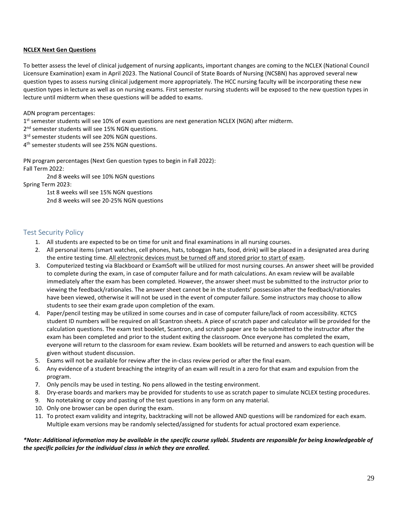#### **NCLEX Next Gen Questions**

To better assess the level of clinical judgement of nursing applicants, important changes are coming to the NCLEX (National Council Licensure Examination) exam in April 2023. The National Council of State Boards of Nursing (NCSBN) has approved several new question types to assess nursing clinical judgement more appropriately. The HCC nursing faculty will be incorporating these new question types in lecture as well as on nursing exams. First semester nursing students will be exposed to the new question types in lecture until midterm when these questions will be added to exams.

ADN program percentages:

1<sup>st</sup> semester students will see 10% of exam questions are next generation NCLEX (NGN) after midterm.

2<sup>nd</sup> semester students will see 15% NGN questions.

3<sup>rd</sup> semester students will see 20% NGN questions.

4<sup>th</sup> semester students will see 25% NGN questions.

PN program percentages (Next Gen question types to begin in Fall 2022): Fall Term 2022:

2nd 8 weeks will see 10% NGN questions Spring Term 2023:

> 1st 8 weeks will see 15% NGN questions 2nd 8 weeks will see 20-25% NGN questions

#### <span id="page-28-0"></span>Test Security Policy

- 1. All students are expected to be on time for unit and final examinations in all nursing courses.
- 2. All personal items (smart watches, cell phones, hats, toboggan hats, food, drink) will be placed in a designated area during the entire testing time. All electronic devices must be turned off and stored prior to start of exam.
- 3. Computerized testing via Blackboard or ExamSoft will be utilized for most nursing courses. An answer sheet will be provided to complete during the exam, in case of computer failure and for math calculations. An exam review will be available immediately after the exam has been completed. However, the answer sheet must be submitted to the instructor prior to viewing the feedback/rationales. The answer sheet cannot be in the students' possession after the feedback/rationales have been viewed, otherwise it will not be used in the event of computer failure. Some instructors may choose to allow students to see their exam grade upon completion of the exam.
- 4. Paper/pencil testing may be utilized in some courses and in case of computer failure/lack of room accessibility. KCTCS student ID numbers will be required on all Scantron sheets. A piece of scratch paper and calculator will be provided for the calculation questions. The exam test booklet, Scantron, and scratch paper are to be submitted to the instructor after the exam has been completed and prior to the student exiting the classroom. Once everyone has completed the exam, everyone will return to the classroom for exam review. Exam booklets will be returned and answers to each question will be given without student discussion.
- 5. Exams will not be available for review after the in-class review period or after the final exam.
- 6. Any evidence of a student breaching the integrity of an exam will result in a zero for that exam and expulsion from the program.
- 7. Only pencils may be used in testing. No pens allowed in the testing environment.
- 8. Dry-erase boards and markers may be provided for students to use as scratch paper to simulate NCLEX testing procedures.
- 9. No notetaking or copy and pasting of the test questions in any form on any material.
- 10. Only one browser can be open during the exam.
- 11. To protect exam validity and integrity, backtracking will not be allowed AND questions will be randomized for each exam. Multiple exam versions may be randomly selected/assigned for students for actual proctored exam experience.

#### *\*Note: Additional information may be available in the specific course syllabi. Students are responsible for being knowledgeable of the specific policies for the individual class in which they are enrolled.*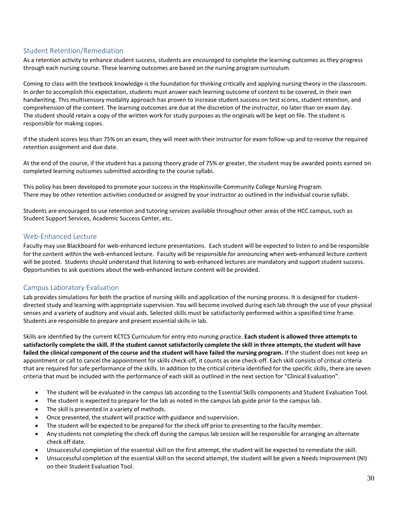# <span id="page-29-0"></span>Student Retention/Remediation

As a retention activity to enhance student success, students are *encouraged* to complete the learning outcomes as they progress through each nursing course. These learning outcomes are based on the nursing program curriculum.

Coming to class with the textbook knowledge is the foundation for thinking critically and applying nursing theory in the classroom. In order to accomplish this expectation, students must answer each learning outcome of content to be covered, in their own handwriting. This multisensory modality approach has proven to increase student success on test scores, student retention, and comprehension of the content. The learning outcomes are due at the discretion of the instructor, no later than on exam day. The student should retain a copy of the written work for study purposes as the originals will be kept on file. The student is responsible for making copies.

If the student scores less than 75% on an exam, they will meet with their instructor for exam follow-up and to receive the required retention assignment and due date.

At the end of the course, if the student has a passing theory grade of 75% or greater, the student may be awarded points earned on completed learning outcomes submitted according to the course syllabi.

This policy has been developed to promote your success in the Hopkinsville Community College Nursing Program. There may be other retention activities conducted or assigned by your instructor as outlined in the individual course syllabi.

Students are encouraged to use retention and tutoring services available throughout other areas of the HCC campus, such as Student Support Services, Academic Success Center, etc.

#### <span id="page-29-1"></span>Web-Enhanced Lecture

Faculty may use Blackboard for web-enhanced lecture presentations. Each student will be expected to listen to and be responsible for the content within the web-enhanced lecture. Faculty will be responsible for announcing when web-enhanced lecture content will be posted. Students should understand that listening to web-enhanced lectures are mandatory and support student success. Opportunities to ask questions about the web-enhanced lecture content will be provided.

# <span id="page-29-2"></span>Campus Laboratory Evaluation

Lab provides simulations for both the practice of nursing skills and application of the nursing process. It is designed for studentdirected study and learning with appropriate supervision. You will become involved during each lab through the use of your physical senses and a variety of auditory and visual aids. Selected skills must be satisfactorily performed within a specified time frame. Students are responsible to prepare and present essential skills in lab.

Skills are identified by the current KCTCS Curriculum for entry into nursing practice. **Each student is allowed three attempts to satisfactorily complete the skill. If the student cannot satisfactorily complete the skill in three attempts, the student will have failed the clinical component of the course and the student will have failed the nursing program.** If the student does not keep an appointment or call to cancel the appointment for skills check-off, it counts as one check-off. Each skill consists of critical criteria that are required for safe performance of the skills. In addition to the critical criteria identified for the specific skills, there are seven criteria that must be included with the performance of each skill as outlined in the next section for "Clinical Evaluation".

- The student will be evaluated in the campus lab according to the Essential Skills components and Student Evaluation Tool.
- The student is expected to prepare for the lab as noted in the campus lab guide prior to the campus lab.
- The skill is presented in a variety of methods.
- Once presented, the student will practice with guidance and supervision.
- The student will be expected to be prepared for the check off prior to presenting to the faculty member.
- Any students not completing the check off during the campus lab session will be responsible for arranging an alternate check off date.
- Unsuccessful completion of the essential skill on the first attempt, the student will be expected to remediate the skill.
- Unsuccessful completion of the essential skill on the second attempt, the student will be given a Needs Improvement (NI) on their Student Evaluation Tool.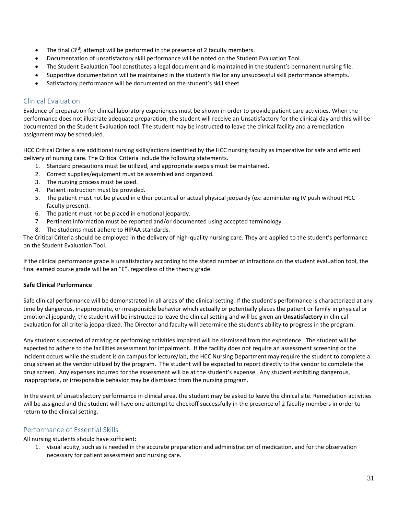- The final  $(3^{rd})$  attempt will be performed in the presence of 2 faculty members.
- Documentation of unsatisfactory skill performance will be noted on the Student Evaluation Tool.
- The Student Evaluation Tool constitutes a legal document and is maintained in the student's permanent nursing file.
- Supportive documentation will be maintained in the student's file for any unsuccessful skill performance attempts.
- Satisfactory performance will be documented on the student's skill sheet.

## <span id="page-30-0"></span>Clinical Evaluation

Evidence of preparation for clinical laboratory experiences must be shown in order to provide patient care activities. When the performance does not illustrate adequate preparation, the student will receive an Unsatisfactory for the clinical day and this will be documented on the Student Evaluation tool. The student may be instructed to leave the clinical facility and a remediation assignment may be scheduled.

HCC Critical Criteria are additional nursing skills/actions identified by the HCC nursing faculty as imperative for safe and efficient delivery of nursing care. The Critical Criteria include the following statements.

- 1. Standard precautions must be utilized, and appropriate asepsis must be maintained.
- 2. Correct supplies/equipment must be assembled and organized.
- 3. The nursing process must be used.
- 4. Patient instruction must be provided.
- 5. The patient must not be placed in either potential or actual physical jeopardy (ex: administering IV push without HCC faculty present).
- 6. The patient must not be placed in emotional jeopardy.
- 7. Pertinent information must be reported and/or documented using accepted terminology.
- 8. The students must adhere to HIPAA standards.

The Critical Criteria should be employed in the delivery of high-quality nursing care. They are applied to the student's performance on the Student Evaluation Tool.

If the clinical performance grade is unsatisfactory according to the stated number of infractions on the student evaluation tool, the final earned course grade will be an "E", regardless of the theory grade.

#### **Safe Clinical Performance**

Safe clinical performance will be demonstrated in all areas of the clinical setting. If the student's performance is characterized at any time by dangerous, inappropriate, or irresponsible behavior which actually or potentially places the patient or family in physical or emotional jeopardy, the student will be instructed to leave the clinical setting and will be given an **Unsatisfactory** in clinical evaluation for all criteria jeopardized. The Director and faculty will determine the student's ability to progress in the program.

Any student suspected of arriving or performing activities impaired will be dismissed from the experience. The student will be expected to adhere to the facilities assessment for impairment. If the facility does not require an assessment screening or the incident occurs while the student is on campus for lecture/lab, the HCC Nursing Department may require the student to complete a drug screen at the vendor utilized by the program. The student will be expected to report directly to the vendor to complete the drug screen. Any expenses incurred for the assessment will be at the student's expense. Any student exhibiting dangerous, inappropriate, or irresponsible behavior may be dismissed from the nursing program.

In the event of unsatisfactory performance in clinical area, the student may be asked to leave the clinical site. Remediation activities will be assigned and the student will have one attempt to checkoff successfully in the presence of 2 faculty members in order to return to the clinical setting.

# <span id="page-30-1"></span>Performance of Essential Skills

All nursing students should have sufficient:

1. visual acuity, such as is needed in the accurate preparation and administration of medication, and for the observation necessary for patient assessment and nursing care.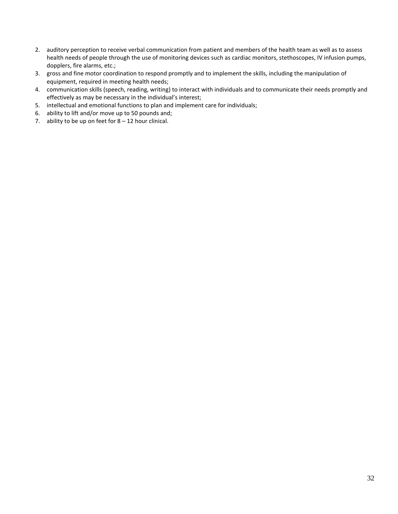- 2. auditory perception to receive verbal communication from patient and members of the health team as well as to assess health needs of people through the use of monitoring devices such as cardiac monitors, stethoscopes, IV infusion pumps, dopplers, fire alarms, etc.;
- 3. gross and fine motor coordination to respond promptly and to implement the skills, including the manipulation of equipment, required in meeting health needs;
- 4. communication skills (speech, reading, writing) to interact with individuals and to communicate their needs promptly and effectively as may be necessary in the individual's interest;
- 5. intellectual and emotional functions to plan and implement care for individuals;
- 6. ability to lift and/or move up to 50 pounds and;
- 7. ability to be up on feet for  $8 12$  hour clinical.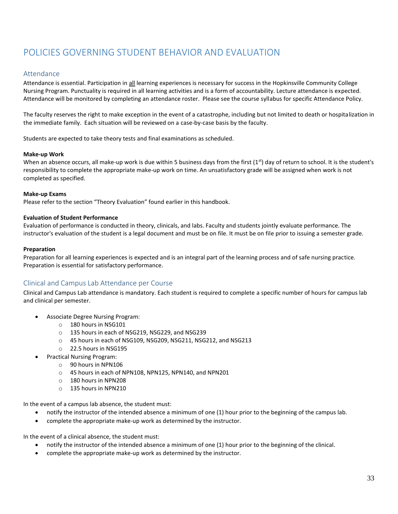# <span id="page-32-0"></span>POLICIES GOVERNING STUDENT BEHAVIOR AND EVALUATION

### <span id="page-32-1"></span>Attendance

Attendance is essential. Participation in all learning experiences is necessary for success in the Hopkinsville Community College Nursing Program. Punctuality is required in all learning activities and is a form of accountability. Lecture attendance is expected. Attendance will be monitored by completing an attendance roster. Please see the course syllabus for specific Attendance Policy.

The faculty reserves the right to make exception in the event of a catastrophe, including but not limited to death or hospitalization in the immediate family. Each situation will be reviewed on a case-by-case basis by the faculty.

Students are expected to take theory tests and final examinations as scheduled.

#### **Make-up Work**

When an absence occurs, all make-up work is due within 5 business days from the first  $(1<sup>st</sup>)$  day of return to school. It is the student's responsibility to complete the appropriate make-up work on time. An unsatisfactory grade will be assigned when work is not completed as specified.

#### **Make-up Exams**

Please refer to the section "Theory Evaluation" found earlier in this handbook.

#### **Evaluation of Student Performance**

Evaluation of performance is conducted in theory, clinicals, and labs. Faculty and students jointly evaluate performance. The instructor's evaluation of the student is a legal document and must be on file. It must be on file prior to issuing a semester grade.

#### **Preparation**

Preparation for all learning experiences is expected and is an integral part of the learning process and of safe nursing practice. Preparation is essential for satisfactory performance.

#### <span id="page-32-2"></span>Clinical and Campus Lab Attendance per Course

Clinical and Campus Lab attendance is mandatory. Each student is required to complete a specific number of hours for campus lab and clinical per semester.

- Associate Degree Nursing Program:
	- o 180 hours in NSG101
	- o 135 hours in each of NSG219, NSG229, and NSG239
	- o 45 hours in each of NSG109, NSG209, NSG211, NSG212, and NSG213
	- o 22.5 hours in NSG195
- Practical Nursing Program:
	- o 90 hours in NPN106
	- o 45 hours in each of NPN108, NPN125, NPN140, and NPN201
	- o 180 hours in NPN208
	- o 135 hours in NPN210

In the event of a campus lab absence, the student must:

- notify the instructor of the intended absence a minimum of one (1) hour prior to the beginning of the campus lab.
- complete the appropriate make-up work as determined by the instructor.

In the event of a clinical absence, the student must:

- notify the instructor of the intended absence a minimum of one (1) hour prior to the beginning of the clinical.
- complete the appropriate make-up work as determined by the instructor.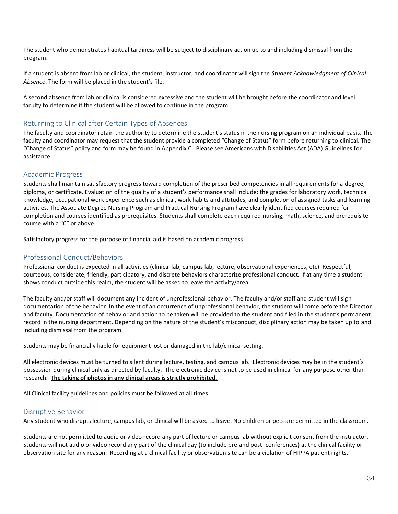The student who demonstrates habitual tardiness will be subject to disciplinary action up to and including dismissal from the program.

If a student is absent from lab or clinical, the student, instructor, and coordinator will sign the *Student Acknowledgment of Clinical Absence*. The form will be placed in the student's file.

A second absence from lab or clinical is considered excessive and the student will be brought before the coordinator and level faculty to determine if the student will be allowed to continue in the program.

# <span id="page-33-0"></span>Returning to Clinical after Certain Types of Absences

The faculty and coordinator retain the authority to determine the student's status in the nursing program on an individual basis. The faculty and coordinator may request that the student provide a completed "Change of Status" form before returning to clinical. The "Change of Status" policy and form may be found in Appendix C. Please see Americans with Disabilities Act (ADA) Guidelines for assistance.

### <span id="page-33-1"></span>Academic Progress

Students shall maintain satisfactory progress toward completion of the prescribed competencies in all requirements for a degree, diploma, or certificate. Evaluation of the quality of a student's performance shall include: the grades for laboratory work, technical knowledge, occupational work experience such as clinical, work habits and attitudes, and completion of assigned tasks and learning activities. The Associate Degree Nursing Program and Practical Nursing Program have clearly identified courses required for completion and courses identified as prerequisites. Students shall complete each required nursing, math, science, and prerequisite course with a "C" or above.

Satisfactory progress for the purpose of financial aid is based on academic progress.

## <span id="page-33-2"></span>Professional Conduct/Behaviors

Professional conduct is expected in all activities (clinical lab, campus lab, lecture, observational experiences, etc). Respectful, courteous, considerate, friendly, participatory, and discrete behaviors characterize professional conduct. If at any time a student shows conduct outside this realm, the student will be asked to leave the activity/area.

The faculty and/or staff will document any incident of unprofessional behavior. The faculty and/or staff and student will sign documentation of the behavior. In the event of an occurrence of unprofessional behavior, the student will come before the Director and faculty. Documentation of behavior and action to be taken will be provided to the student and filed in the student's permanent record in the nursing department. Depending on the nature of the student's misconduct, disciplinary action may be taken up to and including dismissal from the program.

Students may be financially liable for equipment lost or damaged in the lab/clinical setting.

All electronic devices must be turned to silent during lecture, testing, and campus lab. Electronic devices may be in the student's possession during clinical only as directed by faculty. The electronic device is not to be used in clinical for any purpose other than research. **The taking of photos in any clinical areas is strictly prohibited.**

All Clinical facility guidelines and policies must be followed at all times.

#### <span id="page-33-3"></span>Disruptive Behavior

Any student who disrupts lecture, campus lab, or clinical will be asked to leave. No children or pets are permitted in the classroom.

Students are not permitted to audio or video record any part of lecture or campus lab without explicit consent from the instructor. Students will not audio or video record any part of the clinical day (to include pre-and post- conferences) at the clinical facility or observation site for any reason. Recording at a clinical facility or observation site can be a violation of HIPPA patient rights.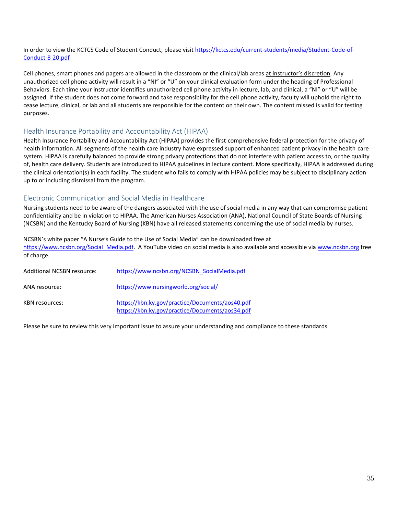#### In order to view the KCTCS Code of Student Conduct, please visit [https://kctcs.edu/current-students/media/Student-Code-of-](https://kctcs.edu/current-students/media/Student-Code-of-Conduct-8-20.pdf)[Conduct-8-20.pdf](https://kctcs.edu/current-students/media/Student-Code-of-Conduct-8-20.pdf)

Cell phones, smart phones and pagers are allowed in the classroom or the clinical/lab areas at instructor's discretion. Any unauthorized cell phone activity will result in a "NI" or "U" on your clinical evaluation form under the heading of Professional Behaviors. Each time your instructor identifies unauthorized cell phone activity in lecture, lab, and clinical, a "NI" or "U" will be assigned. If the student does not come forward and take responsibility for the cell phone activity, faculty will uphold the right to cease lecture, clinical, or lab and all students are responsible for the content on their own. The content missed is valid for testing purposes.

### <span id="page-34-0"></span>Health Insurance Portability and Accountability Act (HIPAA)

Health Insurance Portability and Accountability Act (HIPAA) provides the first comprehensive federal protection for the privacy of health information. All segments of the health care industry have expressed support of enhanced patient privacy in the health care system. HIPAA is carefully balanced to provide strong privacy protections that do not interfere with patient access to, or the quality of, health care delivery. Students are introduced to HIPAA guidelines in lecture content. More specifically, HIPAA is addressed during the clinical orientation(s) in each facility. The student who fails to comply with HIPAA policies may be subject to disciplinary action up to or including dismissal from the program.

# <span id="page-34-1"></span>Electronic Communication and Social Media in Healthcare

Nursing students need to be aware of the dangers associated with the use of social media in any way that can compromise patient confidentiality and be in violation to HIPAA. The American Nurses Association (ANA), National Council of State Boards of Nursing (NCSBN) and the Kentucky Board of Nursing (KBN) have all released statements concerning the use of social media by nurses.

NCSBN's white paper "A Nurse's Guide to the Use of Social Media" can be downloaded free at [https://www.ncsbn.org/Social\\_Media.pdf.](https://www.ncsbn.org/Social_Media.pdf) A YouTube video on social media is also available and accessible vi[a www.ncsbn.org](http://www.ncsbn.org/) free of charge.

| Additional NCSBN resource: | https://www.ncsbn.org/NCSBN SocialMedia.pdf                                                        |
|----------------------------|----------------------------------------------------------------------------------------------------|
| ANA resource:              | https://www.nursingworld.org/social/                                                               |
| <b>KBN</b> resources:      | https://kbn.ky.gov/practice/Documents/aos40.pdf<br>https://kbn.ky.gov/practice/Documents/aos34.pdf |

Please be sure to review this very important issue to assure your understanding and compliance to these standards.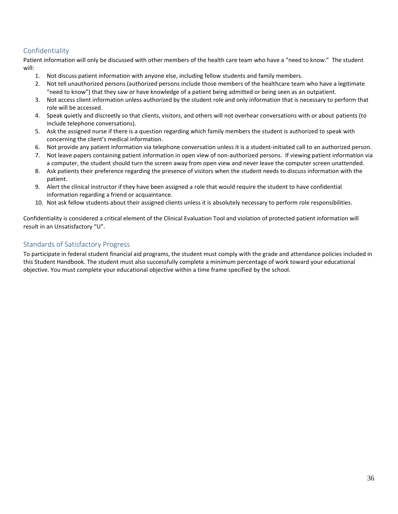# <span id="page-35-0"></span>Confidentiality

Patient information will only be discussed with other members of the health care team who have a "need to know." The student will:

- 1. Not discuss patient information with anyone else, including fellow students and family members.
- 2. Not tell unauthorized persons (authorized persons include those members of the healthcare team who have a legitimate "need to know") that they saw or have knowledge of a patient being admitted or being seen as an outpatient.
- 3. Not access client information unless authorized by the student role and only information that is necessary to perform that role will be accessed.
- 4. Speak quietly and discreetly so that clients, visitors, and others will not overhear conversations with or about patients (to include telephone conversations).
- 5. Ask the assigned nurse if there is a question regarding which family members the student is authorized to speak with concerning the client's medical information.
- 6. Not provide any patient information via telephone conversation unless it is a student-initiated call to an authorized person.
- 7. Not leave papers containing patient information in open view of non-authorized persons. If viewing patient information via a computer, the student should turn the screen away from open view and never leave the computer screen unattended.
- 8. Ask patients their preference regarding the presence of visitors when the student needs to discuss information with the patient.
- 9. Alert the clinical instructor if they have been assigned a role that would require the student to have confidential information regarding a friend or acquaintance.
- 10. Not ask fellow students about their assigned clients unless it is absolutely necessary to perform role responsibilities.

Confidentiality is considered a critical element of the Clinical Evaluation Tool and violation of protected patient information will result in an Unsatisfactory "U".

# <span id="page-35-1"></span>Standards of Satisfactory Progress

To participate in federal student financial aid programs, the student must comply with the grade and attendance policies included in this Student Handbook. The student must also successfully complete a minimum percentage of work toward your educational objective. You must complete your educational objective within a time frame specified by the school.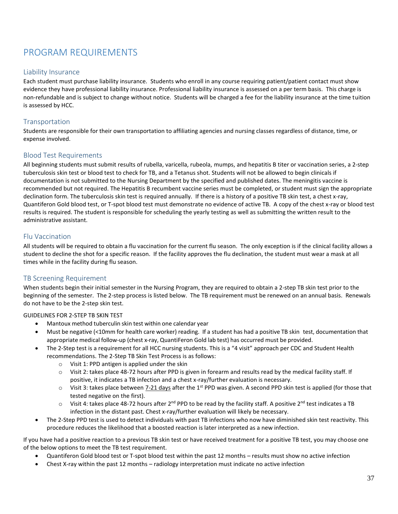# PROGRAM REQUIREMENTS

### Liability Insurance

Each student must purchase liability insurance. Students who enroll in any course requiring patient/patient contact must show evidence they have professional liability insurance. Professional liability insurance is assessed on a per term basis. This charge is non-refundable and is subject to change without notice. Students will be charged a fee for the liability insurance at the time tuition is assessed by HCC.

# Transportation

Students are responsible for their own transportation to affiliating agencies and nursing classes regardless of distance, time, or expense involved.

### Blood Test Requirements

All beginning students must submit results of rubella, varicella, rubeola, mumps, and hepatitis B titer or vaccination series, a 2-step tuberculosis skin test or blood test to check for TB, and a Tetanus shot. Students will not be allowed to begin clinicals if documentation is not submitted to the Nursing Department by the specified and published dates. The meningitis vaccine is recommended but not required. The Hepatitis B recumbent vaccine series must be completed, or student must sign the appropriate declination form. The tuberculosis skin test is required annually. If there is a history of a positive TB skin test, a chest x-ray, Quantiferon Gold blood test, or T-spot blood test must demonstrate no evidence of active TB. A copy of the chest x-ray or blood test results is required. The student is responsible for scheduling the yearly testing as well as submitting the written result to the administrative assistant.

### Flu Vaccination

All students will be required to obtain a flu vaccination for the current flu season. The only exception is if the clinical facility allows a student to decline the shot for a specific reason. If the facility approves the flu declination, the student must wear a mask at all times while in the facility during flu season.

# TB Screening Requirement

When students begin their initial semester in the Nursing Program, they are required to obtain a 2-step TB skin test prior to the beginning of the semester. The 2-step process is listed below. The TB requirement must be renewed on an annual basis. Renewals do not have to be the 2-step skin test.

#### GUIDELINES FOR 2-STEP TB SKIN TEST

- Mantoux method tuberculin skin test within one calendar year
- Must be negative (<10mm for health care worker) reading. If a student has had a positive TB skin test, documentation that appropriate medical follow-up (chest x-ray, QuantiFeron Gold lab test) has occurred must be provided.
- The 2-Step test is a requirement for all HCC nursing students. This is a "4 visit" approach per CDC and Student Health recommendations. The 2-Step TB Skin Test Process is as follows:
	- o Visit 1: PPD antigen is applied under the skin
	- o Visit 2: takes place 48-72 hours after PPD is given in forearm and results read by the medical facility staff. If positive, it indicates a TB infection and a chest x-ray/further evaluation is necessary.
	- $\circ$  Visit 3: takes place between 7-21 days after the 1<sup>st</sup> PPD was given. A second PPD skin test is applied (for those that tested negative on the first).
	- $\circ$  Visit 4: takes place 48-72 hours after 2<sup>nd</sup> PPD to be read by the facility staff. A positive 2<sup>nd</sup> test indicates a TB infection in the distant past. Chest x-ray/further evaluation will likely be necessary.
- The 2-Step PPD test is used to detect individuals with past TB infections who now have diminished skin test reactivity. This procedure reduces the likelihood that a boosted reaction is later interpreted as a new infection.

If you have had a positive reaction to a previous TB skin test or have received treatment for a positive TB test, you may choose one of the below options to meet the TB test requirement.

- Quantiferon Gold blood test or T-spot blood test within the past 12 months results must show no active infection
- Chest X-ray within the past 12 months radiology interpretation must indicate no active infection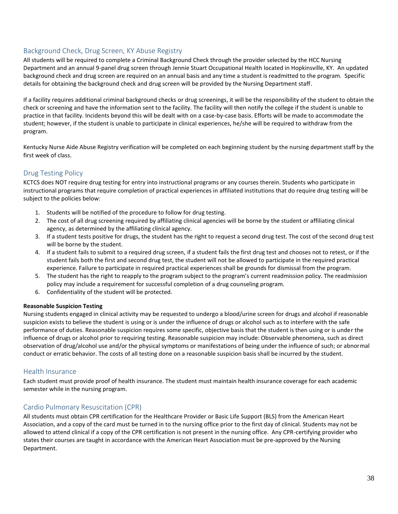# Background Check, Drug Screen, KY Abuse Registry

All students will be required to complete a Criminal Background Check through the provider selected by the HCC Nursing Department and an annual 9-panel drug screen through Jennie Stuart Occupational Health located in Hopkinsville, KY. An updated background check and drug screen are required on an annual basis and any time a student is readmitted to the program. Specific details for obtaining the background check and drug screen will be provided by the Nursing Department staff.

If a facility requires additional criminal background checks or drug screenings, it will be the responsibility of the student to obtain the check or screening and have the information sent to the facility. The facility will then notify the college if the student is unable to practice in that facility. Incidents beyond this will be dealt with on a case-by-case basis. Efforts will be made to accommodate the student; however, if the student is unable to participate in clinical experiences, he/she will be required to withdraw from the program.

Kentucky Nurse Aide Abuse Registry verification will be completed on each beginning student by the nursing department staff by the first week of class.

# Drug Testing Policy

KCTCS does NOT require drug testing for entry into instructional programs or any courses therein. Students who participate in instructional programs that require completion of practical experiences in affiliated institutions that do require drug testing will be subject to the policies below:

- 1. Students will be notified of the procedure to follow for drug testing.
- 2. The cost of all drug screening required by affiliating clinical agencies will be borne by the student or affiliating clinical agency, as determined by the affiliating clinical agency.
- 3. If a student tests positive for drugs, the student has the right to request a second drug test. The cost of the second drug test will be borne by the student.
- 4. If a student fails to submit to a required drug screen, if a student fails the first drug test and chooses not to retest, or if the student fails both the first and second drug test, the student will not be allowed to participate in the required practical experience. Failure to participate in required practical experiences shall be grounds for dismissal from the program.
- 5. The student has the right to reapply to the program subject to the program's current readmission policy. The readmission policy may include a requirement for successful completion of a drug counseling program.
- 6. Confidentiality of the student will be protected.

#### **Reasonable Suspicion Testing**

Nursing students engaged in clinical activity may be requested to undergo a blood/urine screen for drugs and alcohol if reasonable suspicion exists to believe the student is using or is under the influence of drugs or alcohol such as to interfere with the safe performance of duties. Reasonable suspicion requires some specific, objective basis that the student is then using or is under the influence of drugs or alcohol prior to requiring testing. Reasonable suspicion may include: Observable phenomena, such as direct observation of drug/alcohol use and/or the physical symptoms or manifestations of being under the influence of such; or abnormal conduct or erratic behavior. The costs of all testing done on a reasonable suspicion basis shall be incurred by the student.

#### Health Insurance

Each student must provide proof of health insurance. The student must maintain health insurance coverage for each academic semester while in the nursing program.

# Cardio Pulmonary Resuscitation (CPR)

All students must obtain CPR certification for the Healthcare Provider or Basic Life Support (BLS) from the American Heart Association, and a copy of the card must be turned in to the nursing office prior to the first day of clinical. Students may not be allowed to attend clinical if a copy of the CPR certification is not present in the nursing office. Any CPR-certifying provider who states their courses are taught in accordance with the American Heart Association must be pre-approved by the Nursing Department.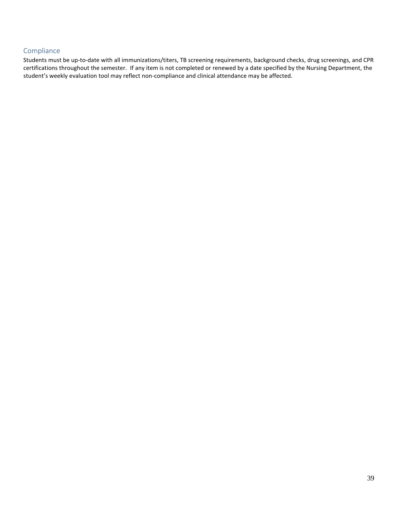# Compliance

Students must be up-to-date with all immunizations/titers, TB screening requirements, background checks, drug screenings, and CPR certifications throughout the semester. If any item is not completed or renewed by a date specified by the Nursing Department, the student's weekly evaluation tool may reflect non-compliance and clinical attendance may be affected.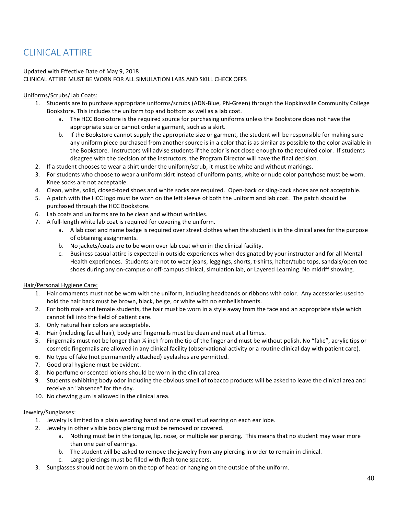# CLINICAL ATTIRE

#### Updated with Effective Date of May 9, 2018 CLINICAL ATTIRE MUST BE WORN FOR ALL SIMULATION LABS AND SKILL CHECK OFFS

#### Uniforms/Scrubs/Lab Coats:

- 1. Students are to purchase appropriate uniforms/scrubs (ADN-Blue, PN-Green) through the Hopkinsville Community College Bookstore. This includes the uniform top and bottom as well as a lab coat.
	- a. The HCC Bookstore is the required source for purchasing uniforms unless the Bookstore does not have the appropriate size or cannot order a garment, such as a skirt.
	- b. If the Bookstore cannot supply the appropriate size or garment, the student will be responsible for making sure any uniform piece purchased from another source is in a color that is as similar as possible to the color available in the Bookstore. Instructors will advise students if the color is not close enough to the required color. If students disagree with the decision of the instructors, the Program Director will have the final decision.
- 2. If a student chooses to wear a shirt under the uniform/scrub, it must be white and without markings.
- 3. For students who choose to wear a uniform skirt instead of uniform pants, white or nude color pantyhose must be worn. Knee socks are not acceptable.
- 4. Clean, white, solid, closed-toed shoes and white socks are required. Open-back or sling-back shoes are not acceptable.
- 5. A patch with the HCC logo must be worn on the left sleeve of both the uniform and lab coat. The patch should be purchased through the HCC Bookstore.
- 6. Lab coats and uniforms are to be clean and without wrinkles.
- 7. A full-length white lab coat is required for covering the uniform.
	- a. A lab coat and name badge is required over street clothes when the student is in the clinical area for the purpose of obtaining assignments.
	- b. No jackets/coats are to be worn over lab coat when in the clinical facility.
	- c. Business casual attire is expected in outside experiences when designated by your instructor and for all Mental Health experiences. Students are not to wear jeans, leggings, shorts, t-shirts, halter/tube tops, sandals/open toe shoes during any on-campus or off-campus clinical, simulation lab, or Layered Learning. No midriff showing.

#### Hair/Personal Hygiene Care:

- 1. Hair ornaments must not be worn with the uniform, including headbands or ribbons with color. Any accessories used to hold the hair back must be brown, black, beige, or white with no embellishments.
- 2. For both male and female students, the hair must be worn in a style away from the face and an appropriate style which cannot fall into the field of patient care.
- 3. Only natural hair colors are acceptable.
- 4. Hair (including facial hair), body and fingernails must be clean and neat at all times.
- 5. Fingernails must not be longer than ¼ inch from the tip of the finger and must be without polish. No "fake", acrylic tips or cosmetic fingernails are allowed in any clinical facility (observational activity or a routine clinical day with patient care).
- 6. No type of fake (not permanently attached) eyelashes are permitted.
- 7. Good oral hygiene must be evident.
- 8. No perfume or scented lotions should be worn in the clinical area.
- 9. Students exhibiting body odor including the obvious smell of tobacco products will be asked to leave the clinical area and receive an "absence" for the day.
- 10. No chewing gum is allowed in the clinical area.

#### Jewelry/Sunglasses:

- 1. Jewelry is limited to a plain wedding band and one small stud earring on each ear lobe.
- 2. Jewelry in other visible body piercing must be removed or covered.
	- a. Nothing must be in the tongue, lip, nose, or multiple ear piercing. This means that no student may wear more than one pair of earrings.
	- b. The student will be asked to remove the jewelry from any piercing in order to remain in clinical.
	- c. Large piercings must be filled with flesh tone spacers.
- 3. Sunglasses should not be worn on the top of head or hanging on the outside of the uniform.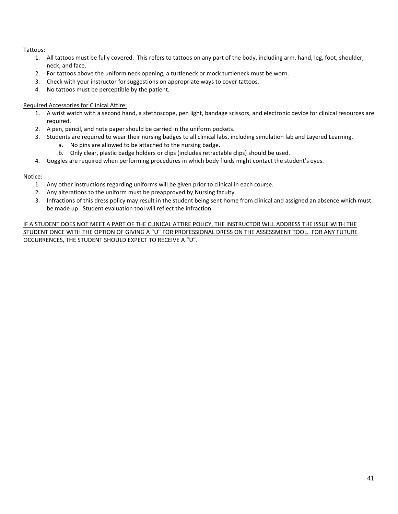#### Tattoos:

- 1. All tattoos must be fully covered. This refers to tattoos on any part of the body, including arm, hand, leg, foot, shoulder, neck, and face.
- 2. For tattoos above the uniform neck opening, a turtleneck or mock turtleneck must be worn.
- 3. Check with your instructor for suggestions on appropriate ways to cover tattoos.
- 4. No tattoos must be perceptible by the patient.

#### Required Accessories for Clinical Attire:

- 1. A wrist watch with a second hand, a stethoscope, pen light, bandage scissors, and electronic device for clinical resources are required.
- 2. A pen, pencil, and note paper should be carried in the uniform pockets.
- 3. Students are required to wear their nursing badges to all clinical labs, including simulation lab and Layered Learning.
	- a. No pins are allowed to be attached to the nursing badge.
	- b. Only clear, plastic badge holders or clips (includes retractable clips) should be used.
- 4. Goggles are required when performing procedures in which body fluids might contact the student's eyes.

#### Notice:

- 1. Any other instructions regarding uniforms will be given prior to clinical in each course.
- 2. Any alterations to the uniform must be preapproved by Nursing faculty.
- 3. Infractions of this dress policy may result in the student being sent home from clinical and assigned an absence which must be made up. Student evaluation tool will reflect the infraction.

IF A STUDENT DOES NOT MEET A PART OF THE CLINICAL ATTIRE POLICY, THE INSTRUCTOR WILL ADDRESS THE ISSUE WITH THE STUDENT ONCE WITH THE OPTION OF GIVING A "U" FOR PROFESSIONAL DRESS ON THE ASSESSMENT TOOL. FOR ANY FUTURE OCCURRENCES, THE STUDENT SHOULD EXPECT TO RECEIVE A "U".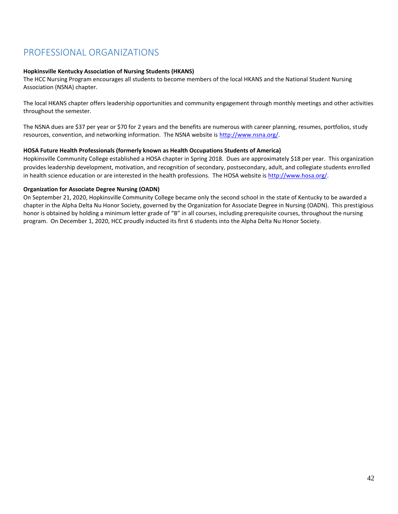# PROFESSIONAL ORGANIZATIONS

#### **Hopkinsville Kentucky Association of Nursing Students (HKANS)**

The HCC Nursing Program encourages all students to become members of the local HKANS and the National Student Nursing Association (NSNA) chapter.

The local HKANS chapter offers leadership opportunities and community engagement through monthly meetings and other activities throughout the semester.

The NSNA dues are \$37 per year or \$70 for 2 years and the benefits are numerous with career planning, resumes, portfolios, study resources, convention, and networking information. The NSNA website i[s http://www.nsna.org/.](http://www.nsna.org/) 

#### **HOSA Future Health Professionals (formerly known as Health Occupations Students of America)**

Hopkinsville Community College established a HOSA chapter in Spring 2018. Dues are approximately \$18 per year. This organization provides leadership development, motivation, and recognition of secondary, postsecondary, adult, and collegiate students enrolled in health science education or are interested in the health professions. The HOSA website i[s http://www.hosa.org/.](http://www.hosa.org/)

#### **Organization for Associate Degree Nursing (OADN)**

On September 21, 2020, Hopkinsville Community College became only the second school in the state of Kentucky to be awarded a chapter in the Alpha Delta Nu Honor Society, governed by the Organization for Associate Degree in Nursing (OADN). This prestigious honor is obtained by holding a minimum letter grade of "B" in all courses, including prerequisite courses, throughout the nursing program. On December 1, 2020, HCC proudly inducted its first 6 students into the Alpha Delta Nu Honor Society.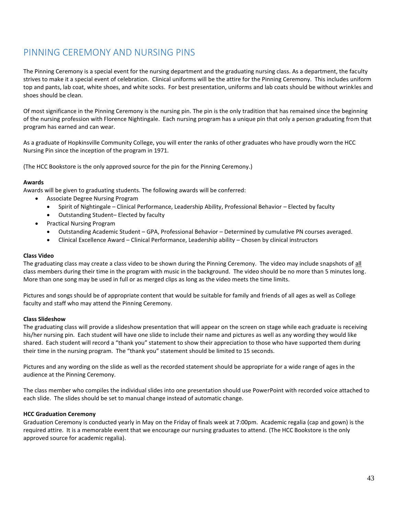# PINNING CEREMONY AND NURSING PINS

The Pinning Ceremony is a special event for the nursing department and the graduating nursing class. As a department, the faculty strives to make it a special event of celebration. Clinical uniforms will be the attire for the Pinning Ceremony. This includes uniform top and pants, lab coat, white shoes, and white socks. For best presentation, uniforms and lab coats should be without wrinkles and shoes should be clean.

Of most significance in the Pinning Ceremony is the nursing pin. The pin is the only tradition that has remained since the beginning of the nursing profession with Florence Nightingale. Each nursing program has a unique pin that only a person graduating from that program has earned and can wear.

As a graduate of Hopkinsville Community College, you will enter the ranks of other graduates who have proudly worn the HCC Nursing Pin since the inception of the program in 1971.

(The HCC Bookstore is the only approved source for the pin for the Pinning Ceremony.)

#### **Awards**

Awards will be given to graduating students. The following awards will be conferred:

- Associate Degree Nursing Program
	- Spirit of Nightingale Clinical Performance, Leadership Ability, Professional Behavior Elected by faculty
	- Outstanding Student– Elected by faculty
- Practical Nursing Program
	- Outstanding Academic Student GPA, Professional Behavior Determined by cumulative PN courses averaged.
	- Clinical Excellence Award Clinical Performance, Leadership ability Chosen by clinical instructors

#### **Class Video**

The graduating class may create a class video to be shown during the Pinning Ceremony. The video may include snapshots of all class members during their time in the program with music in the background. The video should be no more than 5 minutes long. More than one song may be used in full or as merged clips as long as the video meets the time limits.

Pictures and songs should be of appropriate content that would be suitable for family and friends of all ages as well as College faculty and staff who may attend the Pinning Ceremony.

#### **Class Slideshow**

The graduating class will provide a slideshow presentation that will appear on the screen on stage while each graduate is receiving his/her nursing pin. Each student will have one slide to include their name and pictures as well as any wording they would like shared. Each student will record a "thank you" statement to show their appreciation to those who have supported them during their time in the nursing program. The "thank you" statement should be limited to 15 seconds.

Pictures and any wording on the slide as well as the recorded statement should be appropriate for a wide range of ages in the audience at the Pinning Ceremony.

The class member who compiles the individual slides into one presentation should use PowerPoint with recorded voice attached to each slide. The slides should be set to manual change instead of automatic change.

#### **HCC Graduation Ceremony**

Graduation Ceremony is conducted yearly in May on the Friday of finals week at 7:00pm. Academic regalia (cap and gown) is the required attire. It is a memorable event that we encourage our nursing graduates to attend. (The HCC Bookstore is the only approved source for academic regalia).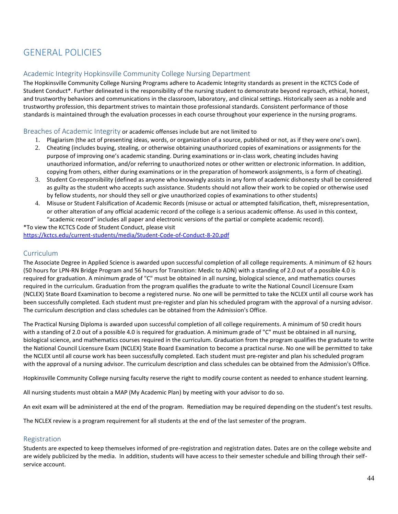# GENERAL POLICIES

# Academic Integrity Hopkinsville Community College Nursing Department

The Hopkinsville Community College Nursing Programs adhere to Academic Integrity standards as present in the KCTCS Code of Student Conduct\*. Further delineated is the responsibility of the nursing student to demonstrate beyond reproach, ethical, honest, and trustworthy behaviors and communications in the classroom, laboratory, and clinical settings. Historically seen as a noble and trustworthy profession, this department strives to maintain those professional standards. Consistent performance of those standards is maintained through the evaluation processes in each course throughout your experience in the nursing programs.

#### Breaches of Academic Integrity or academic offenses include but are not limited to

- 1. Plagiarism (the act of presenting ideas, words, or organization of a source, published or not, as if they were one's own).
- 2. Cheating (includes buying, stealing, or otherwise obtaining unauthorized copies of examinations or assignments for the purpose of improving one's academic standing. During examinations or in-class work, cheating includes having unauthorized information, and/or referring to unauthorized notes or other written or electronic information. In addition, copying from others, either during examinations or in the preparation of homework assignments, is a form of cheating).
- 3. Student Co-responsibility (defined as anyone who knowingly assists in any form of academic dishonesty shall be considered as guilty as the student who accepts such assistance. Students should not allow their work to be copied or otherwise used by fellow students, nor should they sell or give unauthorized copies of examinations to other students)
- 4. Misuse or Student Falsification of Academic Records (misuse or actual or attempted falsification, theft, misrepresentation, or other alteration of any official academic record of the college is a serious academic offense. As used in this context, "academic record" includes all paper and electronic versions of the partial or complete academic record).

\*To view the KCTCS Code of Student Conduct, please visit <https://kctcs.edu/current-students/media/Student-Code-of-Conduct-8-20.pdf>

# **Curriculum**

The Associate Degree in Applied Science is awarded upon successful completion of all college requirements. A minimum of 62 hours (50 hours for LPN-RN Bridge Program and 56 hours for Transition: Medic to ADN) with a standing of 2.0 out of a possible 4.0 is required for graduation. A minimum grade of "C" must be obtained in all nursing, biological science, and mathematics courses required in the curriculum. Graduation from the program qualifies the graduate to write the National Council Licensure Exam (NCLEX) State Board Examination to become a registered nurse. No one will be permitted to take the NCLEX until all course work has been successfully completed. Each student must pre-register and plan his scheduled program with the approval of a nursing advisor. The curriculum description and class schedules can be obtained from the Admission's Office.

The Practical Nursing Diploma is awarded upon successful completion of all college requirements. A minimum of 50 credit hours with a standing of 2.0 out of a possible 4.0 is required for graduation. A minimum grade of "C" must be obtained in all nursing, biological science, and mathematics courses required in the curriculum. Graduation from the program qualifies the graduate to write the National Council Licensure Exam (NCLEX) State Board Examination to become a practical nurse. No one will be permitted to take the NCLEX until all course work has been successfully completed. Each student must pre-register and plan his scheduled program with the approval of a nursing advisor. The curriculum description and class schedules can be obtained from the Admission's Office.

Hopkinsville Community College nursing faculty reserve the right to modify course content as needed to enhance student learning.

All nursing students must obtain a MAP (My Academic Plan) by meeting with your advisor to do so.

An exit exam will be administered at the end of the program. Remediation may be required depending on the student's test results.

The NCLEX review is a program requirement for all students at the end of the last semester of the program.

#### Registration

Students are expected to keep themselves informed of pre-registration and registration dates. Dates are on the college website and are widely publicized by the media. In addition, students will have access to their semester schedule and billing through their selfservice account.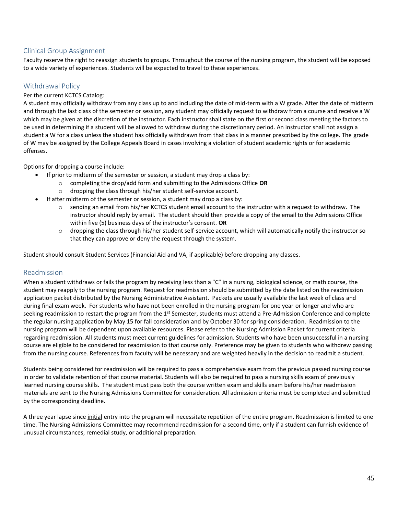### Clinical Group Assignment

Faculty reserve the right to reassign students to groups. Throughout the course of the nursing program, the student will be exposed to a wide variety of experiences. Students will be expected to travel to these experiences.

#### Withdrawal Policy

#### Per the current KCTCS Catalog:

A student may officially withdraw from any class up to and including the date of mid-term with a W grade. After the date of midterm and through the last class of the semester or session, any student may officially request to withdraw from a course and receive a W which may be given at the discretion of the instructor. Each instructor shall state on the first or second class meeting the factors to be used in determining if a student will be allowed to withdraw during the discretionary period. An instructor shall not assign a student a W for a class unless the student has officially withdrawn from that class in a manner prescribed by the college. The grade of W may be assigned by the College Appeals Board in cases involving a violation of student academic rights or for academic offenses.

Options for dropping a course include:

- If prior to midterm of the semester or session, a student may drop a class by:
	- o completing the drop/add form and submitting to the Admissions Office **OR**
	- o dropping the class through his/her student self-service account.
- If after midterm of the semester or session, a student may drop a class by:
	- $\circ$  sending an email from his/her KCTCS student email account to the instructor with a request to withdraw. The instructor should reply by email. The student should then provide a copy of the email to the Admissions Office within five (5) business days of the instructor's consent. **OR**
	- $\circ$  dropping the class through his/her student self-service account, which will automatically notify the instructor so that they can approve or deny the request through the system.

Student should consult Student Services (Financial Aid and VA, if applicable) before dropping any classes.

#### Readmission

When a student withdraws or fails the program by receiving less than a "C" in a nursing, biological science, or math course, the student may reapply to the nursing program. Request for readmission should be submitted by the date listed on the readmission application packet distributed by the Nursing Administrative Assistant. Packets are usually available the last week of class and during final exam week. For students who have not been enrolled in the nursing program for one year or longer and who are seeking readmission to restart the program from the 1<sup>st</sup> Semester, students must attend a Pre-Admission Conference and complete the regular nursing application by May 15 for fall consideration and by October 30 for spring consideration. Readmission to the nursing program will be dependent upon available resources. Please refer to the Nursing Admission Packet for current criteria regarding readmission. All students must meet current guidelines for admission. Students who have been unsuccessful in a nursing course are eligible to be considered for readmission to that course only. Preference may be given to students who withdrew passing from the nursing course. References from faculty will be necessary and are weighted heavily in the decision to readmit a student.

Students being considered for readmission will be required to pass a comprehensive exam from the previous passed nursing course in order to validate retention of that course material. Students will also be required to pass a nursing skills exam of previously learned nursing course skills. The student must pass both the course written exam and skills exam before his/her readmission materials are sent to the Nursing Admissions Committee for consideration. All admission criteria must be completed and submitted by the corresponding deadline.

A three year lapse since initial entry into the program will necessitate repetition of the entire program. Readmission is limited to one time. The Nursing Admissions Committee may recommend readmission for a second time, only if a student can furnish evidence of unusual circumstances, remedial study, or additional preparation.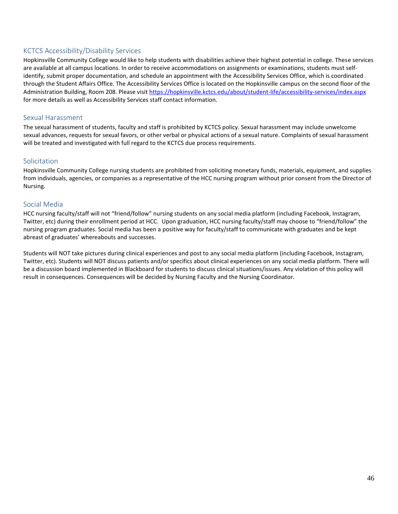### KCTCS Accessibility/Disability Services

Hopkinsville Community College would like to help students with disabilities achieve their highest potential in college. These services are available at all campus locations. In order to receive accommodations on assignments or examinations, students must selfidentify, submit proper documentation, and schedule an appointment with the Accessibility Services Office, which is coordinated through the Student Affairs Office. The Accessibility Services Office is located on the Hopkinsville campus on the second floor of the Administration Building, Room 208. Please visi[t https://hopkinsville.kctcs.edu/about/student-life/accessibility-services/index.aspx](https://hopkinsville.kctcs.edu/about/student-life/accessibility-services/index.aspx) for more details as well as Accessibility Services staff contact information.

### Sexual Harassment

The sexual harassment of students, faculty and staff is prohibited by KCTCS policy. Sexual harassment may include unwelcome sexual advances, requests for sexual favors, or other verbal or physical actions of a sexual nature. Complaints of sexual harassment will be treated and investigated with full regard to the KCTCS due process requirements.

#### Solicitation

Hopkinsville Community College nursing students are prohibited from soliciting monetary funds, materials, equipment, and supplies from individuals, agencies, or companies as a representative of the HCC nursing program without prior consent from the Director of Nursing.

#### Social Media

HCC nursing faculty/staff will not "friend/follow" nursing students on any social media platform (including Facebook, Instagram, Twitter, etc) during their enrollment period at HCC. Upon graduation, HCC nursing faculty/staff may choose to "friend/follow" the nursing program graduates. Social media has been a positive way for faculty/staff to communicate with graduates and be kept abreast of graduates' whereabouts and successes.

Students will NOT take pictures during clinical experiences and post to any social media platform (including Facebook, Instagram, Twitter, etc). Students will NOT discuss patients and/or specifics about clinical experiences on any social media platform. There will be a discussion board implemented in Blackboard for students to discuss clinical situations/issues. Any violation of this policy will result in consequences. Consequences will be decided by Nursing Faculty and the Nursing Coordinator.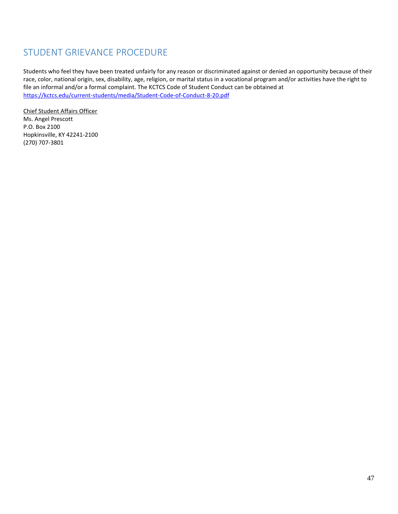# STUDENT GRIEVANCE PROCEDURE

Students who feel they have been treated unfairly for any reason or discriminated against or denied an opportunity because of their race, color, national origin, sex, disability, age, religion, or marital status in a vocational program and/or activities have the right to file an informal and/or a formal complaint. The KCTCS Code of Student Conduct can be obtained at <https://kctcs.edu/current-students/media/Student-Code-of-Conduct-8-20.pdf>

Chief Student Affairs Officer Ms. Angel Prescott P.O. Box 2100 Hopkinsville, KY 42241-2100 (270) 707-3801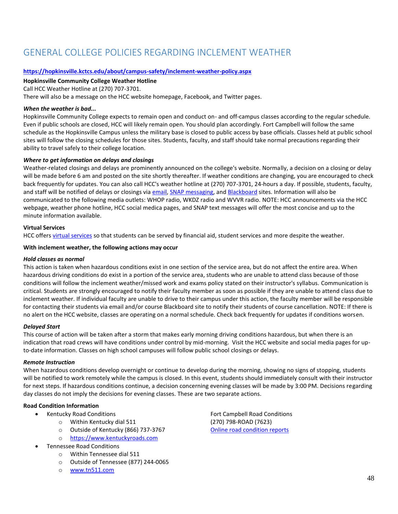# GENERAL COLLEGE POLICIES REGARDING INCLEMENT WEATHER

#### **<https://hopkinsville.kctcs.edu/about/campus-safety/inclement-weather-policy.aspx>**

#### **Hopkinsville Community College Weather Hotline**

Call HCC Weather Hotline at (270) 707-3701.

There will also be a message on the HCC website homepage, Facebook, and Twitter pages.

#### *When the weather is bad...*

Hopkinsville Community College expects to remain open and conduct on- and off-campus classes according to the regular schedule. Even if public schools are closed, HCC will likely remain open. You should plan accordingly. Fort Campbell will follow the same schedule as the Hopkinsville Campus unless the military base is closed to public access by base officials. Classes held at public school sites will follow the closing schedules for those sites. Students, faculty, and staff should take normal precautions regarding their ability to travel safely to their college location.

#### *Where to get information on delays and closings*

Weather-related closings and delays are prominently announced on the college's website. Normally, a decision on a closing or delay will be made before 6 am and posted on the site shortly thereafter. If weather conditions are changing, you are encouraged to check back frequently for updates. You can also call HCC's weather hotline at (270) 707-3701, 24-hours a day. If possible, students, faculty, and staff will be notified of delays or closings via [email,](http://kctcs.edu/email) [SNAP messaging,](http://kctcs.edu/snap) an[d Blackboard](http://elearning.kctcs.edu/webapps/portal/frameset.jsp) sites. Information will also be communicated to the following media outlets: WHOP radio, WKDZ radio and WVVR radio. NOTE: HCC announcements via the HCC webpage, weather phone hotline, HCC social medica pages, and SNAP text messages will offer the most concise and up to the minute information available.

#### **Virtual Services**

HCC offers [virtual services](https://hopkinsville.kctcs.edu/covid-19/covid-19-virtual-resources.aspx) so that students can be served by financial aid, student services and more despite the weather.

#### **With inclement weather, the following actions may occur**

#### *Hold classes as normal*

This action is taken when hazardous conditions exist in one section of the service area, but do not affect the entire area. When hazardous driving conditions do exist in a portion of the service area, students who are unable to attend class because of those conditions will follow the inclement weather/missed work and exams policy stated on their instructor's syllabus. Communication is critical. Students are strongly encouraged to notify their faculty member as soon as possible if they are unable to attend class due to inclement weather. If individual faculty are unable to drive to their campus under this action, the faculty member will be responsible for contacting their students via email and/or course Blackboard site to notify their students of course cancellation. NOTE: If there is no alert on the HCC website, classes are operating on a normal schedule. Check back frequently for updates if conditions worsen.

#### *Delayed Start*

This course of action will be taken after a storm that makes early morning driving conditions hazardous, but when there is an indication that road crews will have conditions under control by mid-morning. Visit the HCC website and social media pages for upto-date information. Classes on high school campuses will follow public school closings or delays.

#### *Remote Instruction*

When hazardous conditions develop overnight or continue to develop during the morning, showing no signs of stopping, students will be notified to work remotely while the campus is closed. In this event, students should immediately consult with their instructor for next steps. If hazardous conditions continue, a decision concerning evening classes will be made by 3:00 PM. Decisions regarding day classes do not imply the decisions for evening classes. These are two separate actions.

#### **Road Condition Information**

- 
- 
- o Outside of Kentucky (866) 737-3767 [Online road condition reports](https://home.army.mil/campbell/index.php/about/Garrison/DPTMS/plans-operations-division/operations-branch/road-conditions)
- o [https://www.kentuckyroads.com](https://www.kentuckyroads.com/travel_information/)
- Tennessee Road Conditions
	- o Within Tennessee dial 511
	- o Outside of Tennessee (877) 244-0065
	- o [www.tn511.com](http://www.tn511.com/)

• Kentucky Road Conditions **Fort Campbell Road Conditions** o Within Kentucky dial 511 (270) 798-ROAD (7623)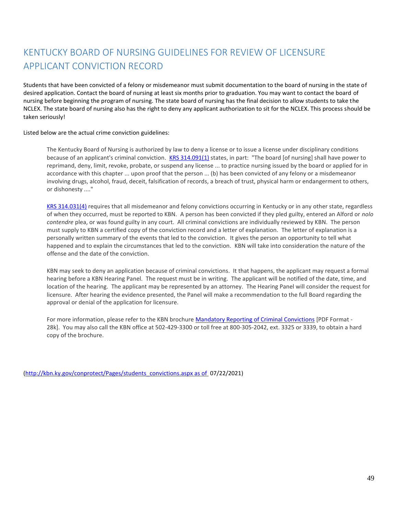# KENTUCKY BOARD OF NURSING GUIDELINES FOR REVIEW OF LICENSURE APPLICANT CONVICTION RECORD

Students that have been convicted of a felony or misdemeanor must submit documentation to the board of nursing in the state of desired application. Contact the board of nursing at least six months prior to graduation. You may want to contact the board of nursing before beginning the program of nursing. The state board of nursing has the final decision to allow students to take the NCLEX. The state board of nursing also has the right to deny any applicant authorization to sit for the NCLEX. This process should be taken seriously!

Listed below are the actual crime conviction guidelines:

The Kentucky Board of Nursing is authorized by law to deny a license or to issue a license under disciplinary conditions because of an applicant's criminal conviction. [KRS 314.091\(1\)](https://apps.legislature.ky.gov/law/Statutes/statute.aspx?id=46814) states, in part: "The board [of nursing] shall have power to reprimand, deny, limit, revoke, probate, or suspend any license ... to practice nursing issued by the board or applied for in accordance with this chapter ... upon proof that the person ... (b) has been convicted of any felony or a misdemeanor involving drugs, alcohol, fraud, deceit, falsification of records, a breach of trust, physical harm or endangerment to others, or dishonesty ...."

[KRS 314.031\(4\)](https://apps.legislature.ky.gov/law/Statutes/statute.aspx?id=30887) requires that all misdemeanor and felony convictions occurring in Kentucky or in any other state, regardless of when they occurred, must be reported to KBN. A person has been convicted if they pled guilty, entered an Alford or *nolo contendre* plea, or was found guilty in any court. All criminal convictions are individually reviewed by KBN. The person must supply to KBN a certified copy of the conviction record and a letter of explanation. The letter of explanation is a personally written summary of the events that led to the conviction. It gives the person an opportunity to tell what happened and to explain the circumstances that led to the conviction. KBN will take into consideration the nature of the offense and the date of the conviction.

KBN may seek to deny an application because of criminal convictions. It that happens, the applicant may request a formal hearing before a KBN Hearing Panel. The request must be in writing. The applicant will be notified of the date, time, and location of the hearing. The applicant may be represented by an attorney. The Hearing Panel will consider the request for licensure. After hearing the evidence presented, the Panel will make a recommendation to the full Board regarding the approval or denial of the application for licensure.

For more information, please refer to the KBN brochure [Mandatory Reporting of Criminal Convictions](https://kbn.ky.gov/conprotect/Documents/cvbroch.pdf) [PDF Format -28k]. You may also call the KBN office at 502-429-3300 or toll free at 800-305-2042, ext. 3325 or 3339, to obtain a hard copy of the brochure.

[\(http://kbn.ky.gov/conprotect/Pages/students\\_convictions.aspx as of](http://kbn.ky.gov/conprotect/Pages/students_convictions.aspx%20as%20of%201/6/2021) 07/22/2021)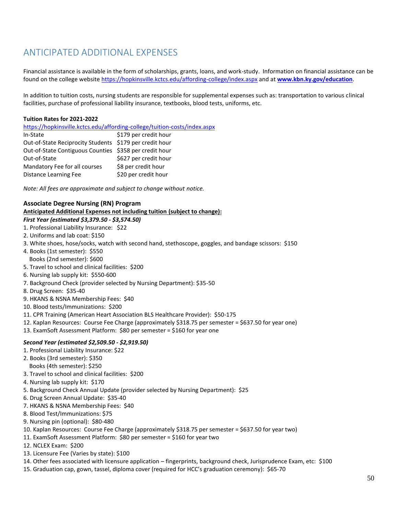# ANTICIPATED ADDITIONAL EXPENSES

Financial assistance is available in the form of scholarships, grants, loans, and work-study. Information on financial assistance can be found on the college website<https://hopkinsville.kctcs.edu/affording-college/index.aspx> and at **[www.kbn.ky.gov/education](http://www.kbn.ky.gov/education)**.

In addition to tuition costs, nursing students are responsible for supplemental expenses such as: transportation to various clinical facilities, purchase of professional liability insurance, textbooks, blood tests, uniforms, etc.

#### **Tuition Rates for 2021-2022**

<https://hopkinsville.kctcs.edu/affording-college/tuition-costs/index.aspx>

| In-State                                                | \$179 per credit hour |
|---------------------------------------------------------|-----------------------|
| Out-of-State Reciprocity Students \$179 per credit hour |                       |
| Out-of-State Contiguous Counties \$358 per credit hour  |                       |
| Out-of-State                                            | \$627 per credit hour |
| Mandatory Fee for all courses                           | \$8 per credit hour   |
| Distance Learning Fee                                   | \$20 per credit hour  |

*Note: All fees are approximate and subject to change without notice.*

#### **Associate Degree Nursing (RN) Program**

#### **Anticipated Additional Expenses not including tuition (subject to change):**

#### *First Year (estimated \$3,379.50 - \$3,574.50)*

- 1. Professional Liability Insurance: \$22
- 2. Uniforms and lab coat: \$150
- 3. White shoes, hose/socks, watch with second hand, stethoscope, goggles, and bandage scissors: \$150
- 4. Books (1st semester): \$550
- Books (2nd semester): \$600
- 5. Travel to school and clinical facilities: \$200
- 6. Nursing lab supply kit: \$550-600
- 7. Background Check (provider selected by Nursing Department): \$35-50
- 8. Drug Screen: \$35-40
- 9. HKANS & NSNA Membership Fees: \$40
- 10. Blood tests/Immunizations: \$200
- 11. CPR Training (American Heart Association BLS Healthcare Provider): \$50-175
- 12. Kaplan Resources: Course Fee Charge (approximately \$318.75 per semester = \$637.50 for year one)
- 13. ExamSoft Assessment Platform: \$80 per semester = \$160 for year one

#### *Second Year (estimated \$2,509.50 - \$2,919.50)*

- 1. Professional Liability Insurance: \$22
- 2. Books (3rd semester): \$350
- Books (4th semester): \$250
- 3. Travel to school and clinical facilities: \$200
- 4. Nursing lab supply kit: \$170
- 5. Background Check Annual Update (provider selected by Nursing Department): \$25
- 6. Drug Screen Annual Update: \$35-40
- 7. HKANS & NSNA Membership Fees: \$40
- 8. Blood Test/Immunizations: \$75
- 9. Nursing pin (optional): \$80-480
- 10. Kaplan Resources: Course Fee Charge (approximately \$318.75 per semester = \$637.50 for year two)
- 11. ExamSoft Assessment Platform: \$80 per semester = \$160 for year two
- 12. NCLEX Exam: \$200
- 13. Licensure Fee (Varies by state): \$100
- 14. Other fees associated with licensure application fingerprints, background check, Jurisprudence Exam, etc: \$100
- 15. Graduation cap, gown, tassel, diploma cover (required for HCC's graduation ceremony): \$65-70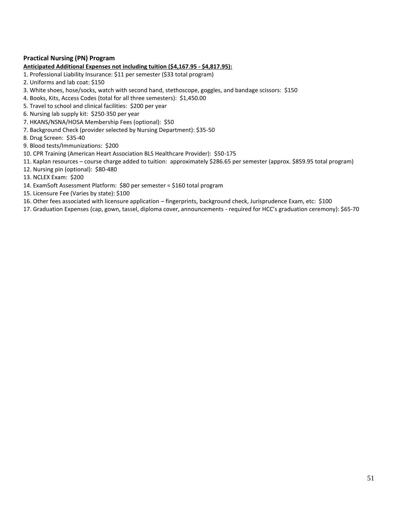### **Practical Nursing (PN) Program**

#### **Anticipated Additional Expenses not including tuition (\$4,167.95 - \$4,817.95):**

- 1. Professional Liability Insurance: \$11 per semester (\$33 total program)
- 2. Uniforms and lab coat: \$150
- 3. White shoes, hose/socks, watch with second hand, stethoscope, goggles, and bandage scissors: \$150
- 4. Books, Kits, Access Codes (total for all three semesters): \$1,450.00
- 5. Travel to school and clinical facilities: \$200 per year
- 6. Nursing lab supply kit: \$250-350 per year
- 7. HKANS/NSNA/HOSA Membership Fees (optional): \$50
- 7. Background Check (provider selected by Nursing Department): \$35-50
- 8. Drug Screen: \$35-40
- 9. Blood tests/Immunizations: \$200
- 10. CPR Training (American Heart Association BLS Healthcare Provider): \$50-175
- 11. Kaplan resources course charge added to tuition: approximately \$286.65 per semester (approx. \$859.95 total program)
- 12. Nursing pin (optional): \$80-480
- 13. NCLEX Exam: \$200
- 14. ExamSoft Assessment Platform: \$80 per semester = \$160 total program
- 15. Licensure Fee (Varies by state): \$100
- 16. Other fees associated with licensure application fingerprints, background check, Jurisprudence Exam, etc: \$100
- 17. Graduation Expenses (cap, gown, tassel, diploma cover, announcements required for HCC's graduation ceremony): \$65-70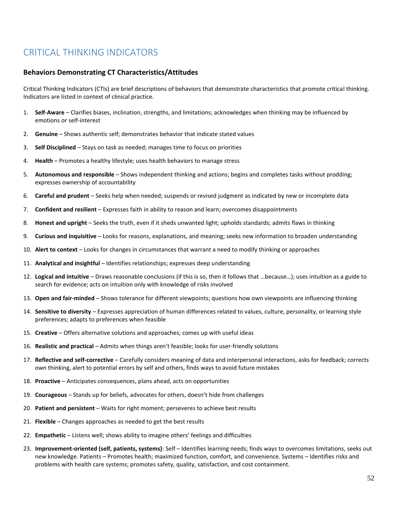# CRITICAL THINKING INDICATORS

#### **Behaviors Demonstrating CT Characteristics/Attitudes**

Critical Thinking Indicators (CTIs) are brief descriptions of behaviors that demonstrate characteristics that promote critical thinking. Indicators are listed in context of clinical practice.

- 1. **Self-Aware** Clarifies biases, inclination, strengths, and limitations; acknowledges when thinking may be influenced by emotions or self-interest
- 2. **Genuine** Shows authentic self; demonstrates behavior that indicate stated values
- 3. **Self Disciplined** Stays on task as needed; manages time to focus on priorities
- 4. **Health** Promotes a healthy lifestyle; uses health behaviors to manage stress
- 5. **Autonomous and responsible** Shows independent thinking and actions; begins and completes tasks without prodding; expresses ownership of accountability
- 6. **Careful and prudent** Seeks help when needed; suspends or revised judgment as indicated by new or incomplete data
- 7. **Confident and resilient** Expresses faith in ability to reason and learn; overcomes disappointments
- 8. **Honest and upright** Seeks the truth, even if it sheds unwanted light; upholds standards; admits flaws in thinking
- 9. **Curious and inquisitive** Looks for reasons, explanations, and meaning; seeks new information to broaden understanding
- 10. **Alert to context** Looks for changes in circumstances that warrant a need to modify thinking or approaches
- 11. **Analytical and insightful** Identifies relationships; expresses deep understanding
- 12. **Logical and intuitive** Draws reasonable conclusions (if this is so, then it follows that …because…); uses intuition as a guide to search for evidence; acts on intuition only with knowledge of risks involved
- 13. **Open and fair-minded** Shows tolerance for different viewpoints; questions how own viewpoints are influencing thinking
- 14. **Sensitive to diversity** Expresses appreciation of human differences related to values, culture, personality, or learning style preferences; adapts to preferences when feasible
- 15. **Creative** Offers alternative solutions and approaches; comes up with useful ideas
- 16. **Realistic and practical** Admits when things aren't feasible; looks for user-friendly solutions
- 17. **Reflective and self-corrective** Carefully considers meaning of data and interpersonal interactions, asks for feedback; corrects own thinking, alert to potential errors by self and others, finds ways to avoid future mistakes
- 18. **Proactive** Anticipates consequences, plans ahead, acts on opportunities
- 19. **Courageous** Stands up for beliefs, advocates for others, doesn't hide from challenges
- 20. **Patient and persistent** Waits for right moment; perseveres to achieve best results
- 21. **Flexible** Changes approaches as needed to get the best results
- 22. **Empathetic** Listens well; shows ability to imagine others' feelings and difficulties
- 23. **Improvement-oriented (self, patients, systems)**: Self Identifies learning needs; finds ways to overcomes limitations, seeks out new knowledge. Patients – Promotes health; maximized function, comfort, and convenience. Systems – Identifies risks and problems with health care systems; promotes safety, quality, satisfaction, and cost containment.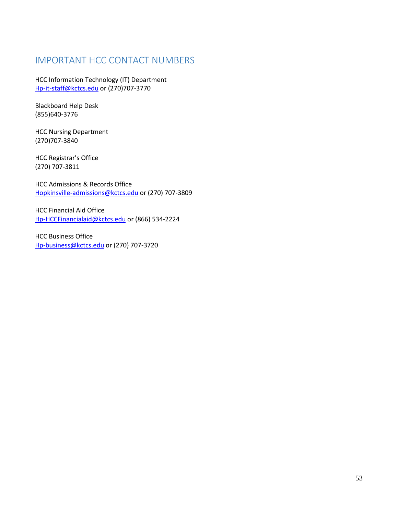# IMPORTANT HCC CONTACT NUMBERS

HCC Information Technology (IT) Department [Hp-it-staff@kctcs.edu](mailto:Hp-it-staff@kctcs.edu) or (270)707-3770

Blackboard Help Desk (855)640-3776

HCC Nursing Department (270)707-3840

HCC Registrar's Office (270) 707-3811

HCC Admissions & Records Office [Hopkinsville-admissions@kctcs.edu](mailto:Hopkinsville-admissions@kctcs.edu) or (270) 707-3809

HCC Financial Aid Office [Hp-HCCFinancialaid@kctcs.edu](mailto:Hp-HCCFinancialaid@kctcs.edu) or (866) 534-2224

HCC Business Office [Hp-business@kctcs.edu](mailto:Hp-business@kctcs.edu) or (270) 707-3720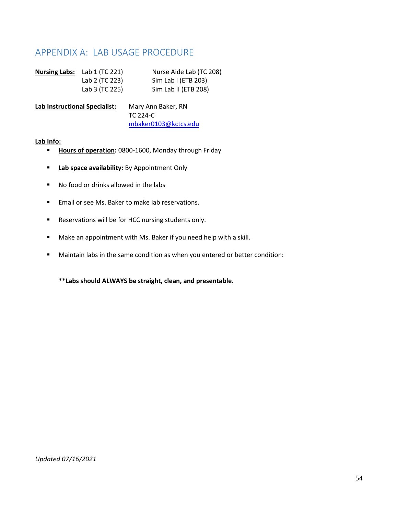# APPENDIX A: LAB USAGE PROCEDURE

**Nursing Labs:** Lab 1 (TC 221) Nurse Aide Lab (TC 208) Lab 2 (TC 223) Sim Lab I (ETB 203) Lab 3 (TC 225) Sim Lab II (ETB 208)

**Lab Instructional Specialist:** Mary Ann Baker, RN TC 224-C [mbaker0103@kctcs.edu](mailto:mbaker0103@kctcs.edu)

#### **Lab Info:**

- **Hours of operation:** 0800-1600, Monday through Friday
- **Lab space availability:** By Appointment Only
- No food or drinks allowed in the labs
- Email or see Ms. Baker to make lab reservations.
- Reservations will be for HCC nursing students only.
- Make an appointment with Ms. Baker if you need help with a skill.
- Maintain labs in the same condition as when you entered or better condition:

**\*\*Labs should ALWAYS be straight, clean, and presentable.**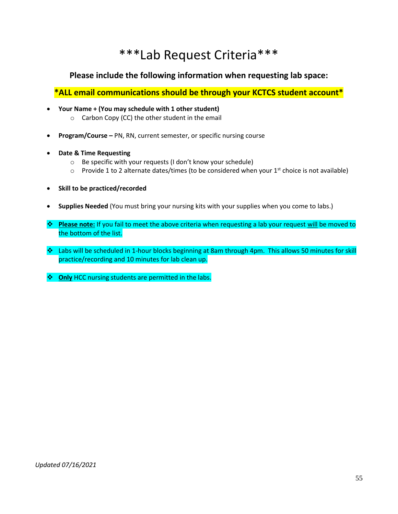# \*\*\*Lab Request Criteria\*\*\*

# **Please include the following information when requesting lab space:**

# **\*ALL email communications should be through your KCTCS student account\***

- **Your Name + (You may schedule with 1 other student)** o Carbon Copy (CC) the other student in the email
- **Program/Course –** PN, RN, current semester, or specific nursing course
- **Date & Time Requesting**
	- o Be specific with your requests (I don't know your schedule)
	- $\circ$  Provide 1 to 2 alternate dates/times (to be considered when your 1<sup>st</sup> choice is not available)
- **Skill to be practiced/recorded**
- **Supplies Needed** (You must bring your nursing kits with your supplies when you come to labs.)
- ❖ **Please note:** If you fail to meet the above criteria when requesting a lab your request will be moved to the bottom of the list.
- ❖ Labs will be scheduled in 1-hour blocks beginning at 8am through 4pm. This allows 50 minutes for skill practice/recording and 10 minutes for lab clean up.
- ❖ **Only** HCC nursing students are permitted in the labs.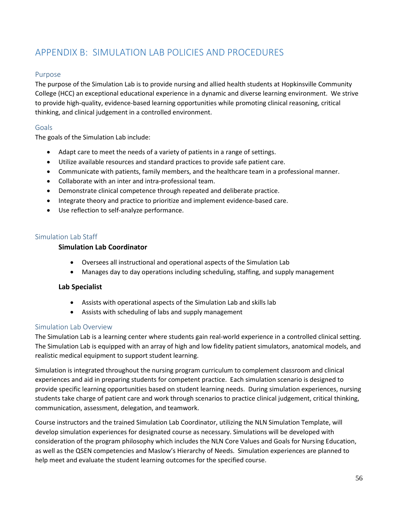# APPENDIX B: SIMULATION LAB POLICIES AND PROCEDURES

# Purpose

The purpose of the Simulation Lab is to provide nursing and allied health students at Hopkinsville Community College (HCC) an exceptional educational experience in a dynamic and diverse learning environment. We strive to provide high-quality, evidence-based learning opportunities while promoting clinical reasoning, critical thinking, and clinical judgement in a controlled environment.

# Goals

The goals of the Simulation Lab include:

- Adapt care to meet the needs of a variety of patients in a range of settings.
- Utilize available resources and standard practices to provide safe patient care.
- Communicate with patients, family members, and the healthcare team in a professional manner.
- Collaborate with an inter and intra-professional team.
- Demonstrate clinical competence through repeated and deliberate practice.
- Integrate theory and practice to prioritize and implement evidence-based care.
- Use reflection to self-analyze performance.

### Simulation Lab Staff

### **Simulation Lab Coordinator**

- Oversees all instructional and operational aspects of the Simulation Lab
- Manages day to day operations including scheduling, staffing, and supply management

# **Lab Specialist**

- Assists with operational aspects of the Simulation Lab and skills lab
- Assists with scheduling of labs and supply management

# Simulation Lab Overview

The Simulation Lab is a learning center where students gain real-world experience in a controlled clinical setting. The Simulation Lab is equipped with an array of high and low fidelity patient simulators, anatomical models, and realistic medical equipment to support student learning.

Simulation is integrated throughout the nursing program curriculum to complement classroom and clinical experiences and aid in preparing students for competent practice. Each simulation scenario is designed to provide specific learning opportunities based on student learning needs. During simulation experiences, nursing students take charge of patient care and work through scenarios to practice clinical judgement, critical thinking, communication, assessment, delegation, and teamwork.

Course instructors and the trained Simulation Lab Coordinator, utilizing the NLN Simulation Template, will develop simulation experiences for designated course as necessary. Simulations will be developed with consideration of the program philosophy which includes the NLN Core Values and Goals for Nursing Education, as well as the QSEN competencies and Maslow's Hierarchy of Needs. Simulation experiences are planned to help meet and evaluate the student learning outcomes for the specified course.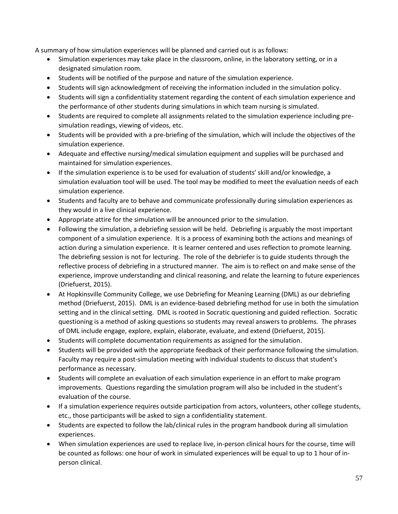A summary of how simulation experiences will be planned and carried out is as follows:

- Simulation experiences may take place in the classroom, online, in the laboratory setting, or in a designated simulation room.
- Students will be notified of the purpose and nature of the simulation experience.
- Students will sign acknowledgment of receiving the information included in the simulation policy.
- Students will sign a confidentiality statement regarding the content of each simulation experience and the performance of other students during simulations in which team nursing is simulated.
- Students are required to complete all assignments related to the simulation experience including presimulation readings, viewing of videos, etc.
- Students will be provided with a pre-briefing of the simulation, which will include the objectives of the simulation experience.
- Adequate and effective nursing/medical simulation equipment and supplies will be purchased and maintained for simulation experiences.
- If the simulation experience is to be used for evaluation of students' skill and/or knowledge, a simulation evaluation tool will be used. The tool may be modified to meet the evaluation needs of each simulation experience.
- Students and faculty are to behave and communicate professionally during simulation experiences as they would in a live clinical experience.
- Appropriate attire for the simulation will be announced prior to the simulation.
- Following the simulation, a debriefing session will be held. Debriefing is arguably the most important component of a simulation experience. It is a process of examining both the actions and meanings of action during a simulation experience. It is learner centered and uses reflection to promote learning. The debriefing session is not for lecturing. The role of the debriefer is to guide students through the reflective process of debriefing in a structured manner. The aim is to reflect on and make sense of the experience, improve understanding and clinical reasoning, and relate the learning to future experiences (Driefuerst, 2015).
- At Hopkinsville Community College, we use Debriefing for Meaning Learning (DML) as our debriefing method (Driefuerst, 2015). DML is an evidence-based debriefing method for use in both the simulation setting and in the clinical setting. DML is rooted in Socratic questioning and guided reflection. Socratic questioning is a method of asking questions so students may reveal answers to problems. The phrases of DML include engage, explore, explain, elaborate, evaluate, and extend (Driefuerst, 2015).
- Students will complete documentation requirements as assigned for the simulation.
- Students will be provided with the appropriate feedback of their performance following the simulation. Faculty may require a post-simulation meeting with individual students to discuss that student's performance as necessary.
- Students will complete an evaluation of each simulation experience in an effort to make program improvements. Questions regarding the simulation program will also be included in the student's evaluation of the course.
- If a simulation experience requires outside participation from actors, volunteers, other college students, etc., those participants will be asked to sign a confidentiality statement.
- Students are expected to follow the lab/clinical rules in the program handbook during all simulation experiences.
- When simulation experiences are used to replace live, in-person clinical hours for the course, time will be counted as follows: one hour of work in simulated experiences will be equal to up to 1 hour of inperson clinical.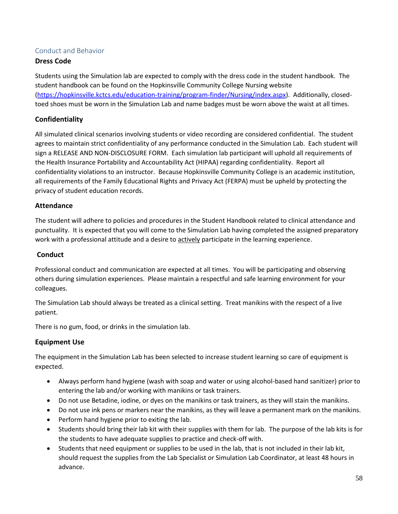# Conduct and Behavior

# **Dress Code**

Students using the Simulation lab are expected to comply with the dress code in the student handbook. The student handbook can be found on the Hopkinsville Community College Nursing website [\(https://hopkinsville.kctcs.edu/education-training/program-finder/Nursing/index.aspx\)](https://hopkinsville.kctcs.edu/education-training/program-finder/Nursing/index.aspx). Additionally, closedtoed shoes must be worn in the Simulation Lab and name badges must be worn above the waist at all times.

# **Confidentiality**

All simulated clinical scenarios involving students or video recording are considered confidential. The student agrees to maintain strict confidentiality of any performance conducted in the Simulation Lab. Each student will sign a RELEASE AND NON-DISCLOSURE FORM. Each simulation lab participant will uphold all requirements of the Health Insurance Portability and Accountability Act (HIPAA) regarding confidentiality. Report all confidentiality violations to an instructor. Because Hopkinsville Community College is an academic institution, all requirements of the Family Educational Rights and Privacy Act (FERPA) must be upheld by protecting the privacy of student education records.

# **Attendance**

The student will adhere to policies and procedures in the Student Handbook related to clinical attendance and punctuality. It is expected that you will come to the Simulation Lab having completed the assigned preparatory work with a professional attitude and a desire to actively participate in the learning experience.

### **Conduct**

Professional conduct and communication are expected at all times. You will be participating and observing others during simulation experiences. Please maintain a respectful and safe learning environment for your colleagues.

The Simulation Lab should always be treated as a clinical setting. Treat manikins with the respect of a live patient.

There is no gum, food, or drinks in the simulation lab.

# **Equipment Use**

The equipment in the Simulation Lab has been selected to increase student learning so care of equipment is expected.

- Always perform hand hygiene (wash with soap and water or using alcohol-based hand sanitizer) prior to entering the lab and/or working with manikins or task trainers.
- Do not use Betadine, iodine, or dyes on the manikins or task trainers, as they will stain the manikins.
- Do not use ink pens or markers near the manikins, as they will leave a permanent mark on the manikins.
- Perform hand hygiene prior to exiting the lab.
- Students should bring their lab kit with their supplies with them for lab. The purpose of the lab kits is for the students to have adequate supplies to practice and check-off with.
- Students that need equipment or supplies to be used in the lab, that is not included in their lab kit, should request the supplies from the Lab Specialist or Simulation Lab Coordinator, at least 48 hours in advance.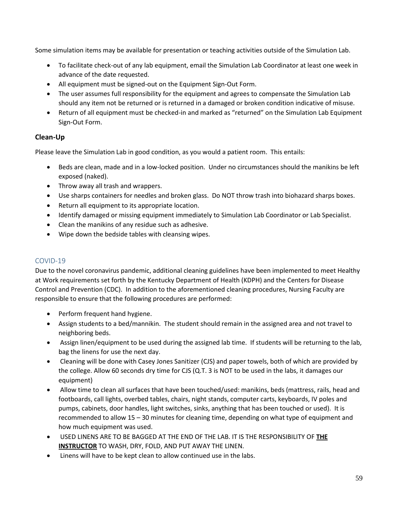Some simulation items may be available for presentation or teaching activities outside of the Simulation Lab.

- To facilitate check-out of any lab equipment, email the Simulation Lab Coordinator at least one week in advance of the date requested.
- All equipment must be signed-out on the Equipment Sign-Out Form.
- The user assumes full responsibility for the equipment and agrees to compensate the Simulation Lab should any item not be returned or is returned in a damaged or broken condition indicative of misuse.
- Return of all equipment must be checked-in and marked as "returned" on the Simulation Lab Equipment Sign-Out Form.

# **Clean-Up**

Please leave the Simulation Lab in good condition, as you would a patient room. This entails:

- Beds are clean, made and in a low-locked position. Under no circumstances should the manikins be left exposed (naked).
- Throw away all trash and wrappers.
- Use sharps containers for needles and broken glass. Do NOT throw trash into biohazard sharps boxes.
- Return all equipment to its appropriate location.
- Identify damaged or missing equipment immediately to Simulation Lab Coordinator or Lab Specialist.
- Clean the manikins of any residue such as adhesive.
- Wipe down the bedside tables with cleansing wipes.

# COVID-19

Due to the novel coronavirus pandemic, additional cleaning guidelines have been implemented to meet Healthy at Work requirements set forth by the Kentucky Department of Health (KDPH) and the Centers for Disease Control and Prevention (CDC). In addition to the aforementioned cleaning procedures, Nursing Faculty are responsible to ensure that the following procedures are performed:

- Perform frequent hand hygiene.
- Assign students to a bed/mannikin. The student should remain in the assigned area and not travel to neighboring beds.
- Assign linen/equipment to be used during the assigned lab time. If students will be returning to the lab, bag the linens for use the next day.
- Cleaning will be done with Casey Jones Sanitizer (CJS) and paper towels, both of which are provided by the college. Allow 60 seconds dry time for CJS (Q.T. 3 is NOT to be used in the labs, it damages our equipment)
- Allow time to clean all surfaces that have been touched/used: manikins, beds (mattress, rails, head and footboards, call lights, overbed tables, chairs, night stands, computer carts, keyboards, IV poles and pumps, cabinets, door handles, light switches, sinks, anything that has been touched or used). It is recommended to allow 15 – 30 minutes for cleaning time, depending on what type of equipment and how much equipment was used.
- USED LINENS ARE TO BE BAGGED AT THE END OF THE LAB. IT IS THE RESPONSIBILITY OF **THE INSTRUCTOR** TO WASH, DRY, FOLD, AND PUT AWAY THE LINEN.
- Linens will have to be kept clean to allow continued use in the labs.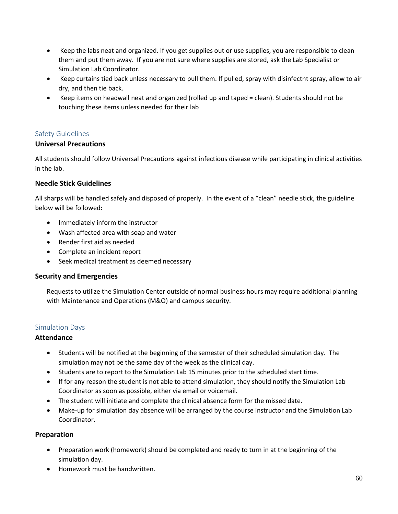- Keep the labs neat and organized. If you get supplies out or use supplies, you are responsible to clean them and put them away. If you are not sure where supplies are stored, ask the Lab Specialist or Simulation Lab Coordinator.
- Keep curtains tied back unless necessary to pull them. If pulled, spray with disinfectnt spray, allow to air dry, and then tie back.
- Keep items on headwall neat and organized (rolled up and taped = clean). Students should not be touching these items unless needed for their lab

# Safety Guidelines

# **Universal Precautions**

All students should follow Universal Precautions against infectious disease while participating in clinical activities in the lab.

# **Needle Stick Guidelines**

All sharps will be handled safely and disposed of properly. In the event of a "clean" needle stick, the guideline below will be followed:

- Immediately inform the instructor
- Wash affected area with soap and water
- Render first aid as needed
- Complete an incident report
- Seek medical treatment as deemed necessary

# **Security and Emergencies**

Requests to utilize the Simulation Center outside of normal business hours may require additional planning with Maintenance and Operations (M&O) and campus security.

# Simulation Days

# **Attendance**

- Students will be notified at the beginning of the semester of their scheduled simulation day. The simulation may not be the same day of the week as the clinical day.
- Students are to report to the Simulation Lab 15 minutes prior to the scheduled start time.
- If for any reason the student is not able to attend simulation, they should notify the Simulation Lab Coordinator as soon as possible, either via email or voicemail.
- The student will initiate and complete the clinical absence form for the missed date.
- Make-up for simulation day absence will be arranged by the course instructor and the Simulation Lab Coordinator.

# **Preparation**

- Preparation work (homework) should be completed and ready to turn in at the beginning of the simulation day.
- Homework must be handwritten.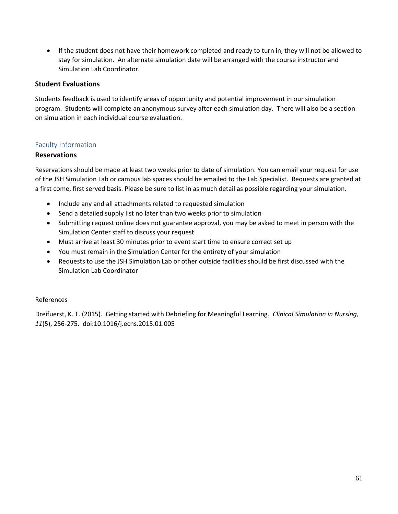• If the student does not have their homework completed and ready to turn in, they will not be allowed to stay for simulation. An alternate simulation date will be arranged with the course instructor and Simulation Lab Coordinator.

# **Student Evaluations**

Students feedback is used to identify areas of opportunity and potential improvement in our simulation program. Students will complete an anonymous survey after each simulation day. There will also be a section on simulation in each individual course evaluation.

# Faculty Information

# **Reservations**

Reservations should be made at least two weeks prior to date of simulation. You can email your request for use of the JSH Simulation Lab or campus lab spaces should be emailed to the Lab Specialist. Requests are granted at a first come, first served basis. Please be sure to list in as much detail as possible regarding your simulation.

- Include any and all attachments related to requested simulation
- Send a detailed supply list no later than two weeks prior to simulation
- Submitting request online does not guarantee approval, you may be asked to meet in person with the Simulation Center staff to discuss your request
- Must arrive at least 30 minutes prior to event start time to ensure correct set up
- You must remain in the Simulation Center for the entirety of your simulation
- Requests to use the JSH Simulation Lab or other outside facilities should be first discussed with the Simulation Lab Coordinator

# References

Dreifuerst, K. T. (2015). Getting started with Debriefing for Meaningful Learning. *Clinical Simulation in Nursing, 11*(5), 256-275. doi:10.1016/j.ecns.2015.01.005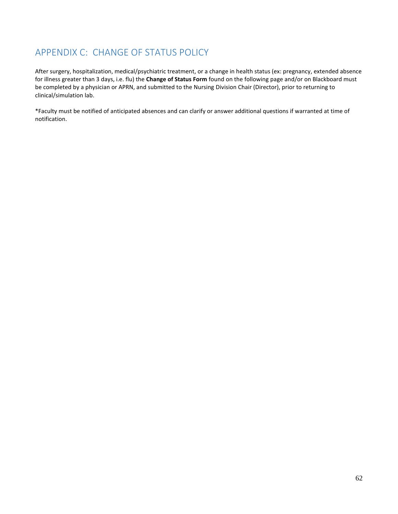# APPENDIX C: CHANGE OF STATUS POLICY

After surgery, hospitalization, medical/psychiatric treatment, or a change in health status (ex: pregnancy, extended absence for illness greater than 3 days, i.e. flu) the **Change of Status Form** found on the following page and/or on Blackboard must be completed by a physician or APRN, and submitted to the Nursing Division Chair (Director), prior to returning to clinical/simulation lab.

\*Faculty must be notified of anticipated absences and can clarify or answer additional questions if warranted at time of notification.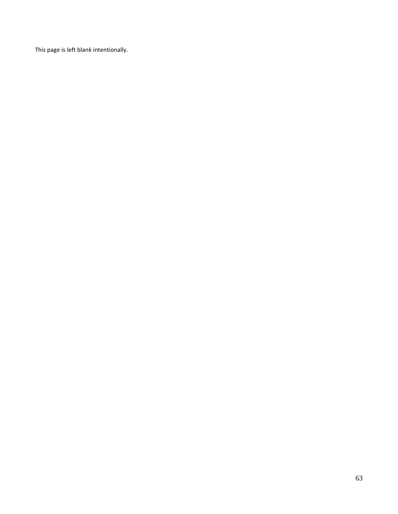This page is left blank intentionally.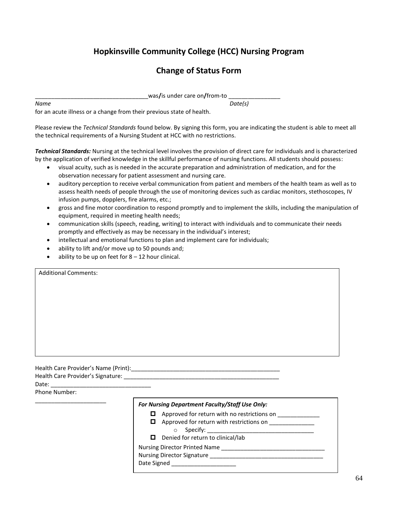# **Hopkinsville Community College (HCC) Nursing Program**

# **Change of Status Form**

was/is under care on/from-to

*Name Date(s)*

for an acute illness or a change from their previous state of health.

Please review the *Technical Standards* found below. By signing this form, you are indicating the student is able to meet all the technical requirements of a Nursing Student at HCC with no restrictions.

*Technical Standards:* Nursing at the technical level involves the provision of direct care for individuals and is characterized by the application of verified knowledge in the skillful performance of nursing functions. All students should possess:

- visual acuity, such as is needed in the accurate preparation and administration of medication, and for the observation necessary for patient assessment and nursing care.
- auditory perception to receive verbal communication from patient and members of the health team as well as to assess health needs of people through the use of monitoring devices such as cardiac monitors, stethoscopes, IV infusion pumps, dopplers, fire alarms, etc.;
- gross and fine motor coordination to respond promptly and to implement the skills, including the manipulation of equipment, required in meeting health needs;
- communication skills (speech, reading, writing) to interact with individuals and to communicate their needs promptly and effectively as may be necessary in the individual's interest;
- intellectual and emotional functions to plan and implement care for individuals;
- ability to lift and/or move up to 50 pounds and;
- ability to be up on feet for  $8 12$  hour clinical.

| <b>Additional Comments:</b>              |
|------------------------------------------|
|                                          |
|                                          |
|                                          |
|                                          |
|                                          |
|                                          |
|                                          |
|                                          |
|                                          |
|                                          |
|                                          |
| Health Care Provider's Name (Print):____ |
|                                          |
| Health Care Provider's Signature:        |

Date:

Phone Number:

|                                   | For Nursing Department Faculty/Staff Use Only:                                                                                              |  |
|-----------------------------------|---------------------------------------------------------------------------------------------------------------------------------------------|--|
| 0                                 | Approved for return with no restrictions on<br>$\Box$ Approved for return with restrictions on<br>Specify: _____________________<br>$\circ$ |  |
| 0.                                | Denied for return to clinical/lab                                                                                                           |  |
| Nursing Director Printed Name     |                                                                                                                                             |  |
| <b>Nursing Director Signature</b> |                                                                                                                                             |  |
|                                   | Date Signed                                                                                                                                 |  |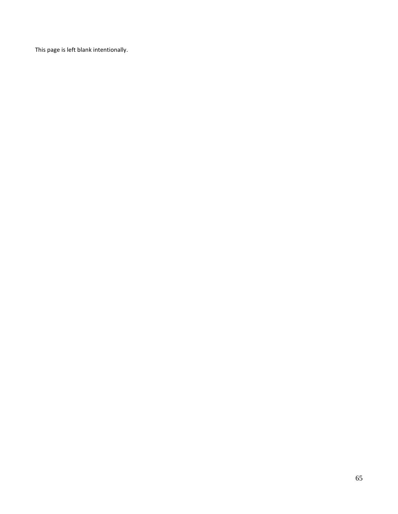This page is left blank intentionally.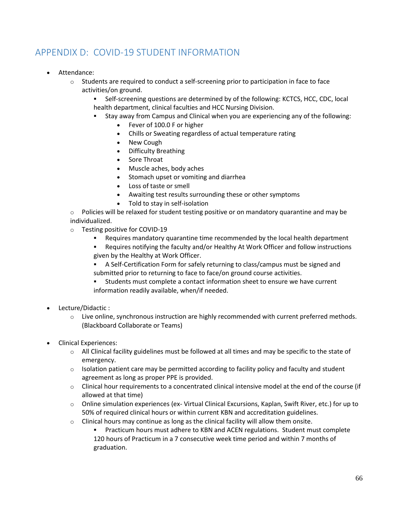# APPENDIX D: COVID-19 STUDENT INFORMATION

- Attendance:
	- $\circ$  Students are required to conduct a self-screening prior to participation in face to face activities/on ground.
		- Self-screening questions are determined by of the following: KCTCS, HCC, CDC, local health department, clinical faculties and HCC Nursing Division.
			- Stay away from Campus and Clinical when you are experiencing any of the following:
				- Fever of 100.0 F or higher
				- Chills or Sweating regardless of actual temperature rating
				- New Cough
				- Difficulty Breathing
				- Sore Throat
				- Muscle aches, body aches
				- Stomach upset or vomiting and diarrhea
				- Loss of taste or smell
				- Awaiting test results surrounding these or other symptoms
				- Told to stay in self-isolation

 $\circ$  Policies will be relaxed for student testing positive or on mandatory quarantine and may be individualized.

- o Testing positive for COVID-19
	- Requires mandatory quarantine time recommended by the local health department
	- Requires notifying the faculty and/or Healthy At Work Officer and follow instructions given by the Healthy at Work Officer.
	- A Self-Certification Form for safely returning to class/campus must be signed and submitted prior to returning to face to face/on ground course activities.
	- Students must complete a contact information sheet to ensure we have current information readily available, when/if needed.
- Lecture/Didactic :
	- $\circ$  Live online, synchronous instruction are highly recommended with current preferred methods. (Blackboard Collaborate or Teams)
- Clinical Experiences:
	- $\circ$  All Clinical facility guidelines must be followed at all times and may be specific to the state of emergency.
	- $\circ$  Isolation patient care may be permitted according to facility policy and faculty and student agreement as long as proper PPE is provided.
	- $\circ$  Clinical hour requirements to a concentrated clinical intensive model at the end of the course (if allowed at that time)
	- $\circ$  Online simulation experiences (ex- Virtual Clinical Excursions, Kaplan, Swift River, etc.) for up to 50% of required clinical hours or within current KBN and accreditation guidelines.
	- $\circ$  Clinical hours may continue as long as the clinical facility will allow them onsite.
		- Practicum hours must adhere to KBN and ACEN regulations. Student must complete 120 hours of Practicum in a 7 consecutive week time period and within 7 months of graduation.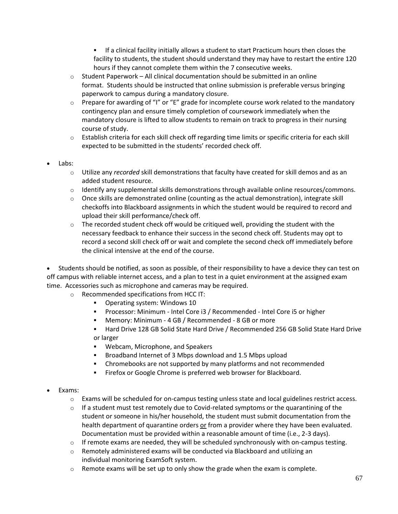If a clinical facility initially allows a student to start Practicum hours then closes the facility to students, the student should understand they may have to restart the entire 120 hours if they cannot complete them within the 7 consecutive weeks.

- $\circ$  Student Paperwork All clinical documentation should be submitted in an online format. Students should be instructed that online submission is preferable versus bringing paperwork to campus during a mandatory closure.
- $\circ$  Prepare for awarding of "I" or "E" grade for incomplete course work related to the mandatory contingency plan and ensure timely completion of coursework immediately when the mandatory closure is lifted to allow students to remain on track to progress in their nursing course of study.
- $\circ$  Establish criteria for each skill check off regarding time limits or specific criteria for each skill expected to be submitted in the students' recorded check off.
- Labs:
	- o Utilize any *recorded* skill demonstrations that faculty have created for skill demos and as an added student resource.
	- $\circ$  Identify any supplemental skills demonstrations through available online resources/commons.
	- $\circ$  Once skills are demonstrated online (counting as the actual demonstration), integrate skill checkoffs into Blackboard assignments in which the student would be required to record and upload their skill performance/check off.
	- $\circ$  The recorded student check off would be critiqued well, providing the student with the necessary feedback to enhance their success in the second check off. Students may opt to record a second skill check off or wait and complete the second check off immediately before the clinical intensive at the end of the course.

• Students should be notified, as soon as possible, of their responsibility to have a device they can test on off campus with reliable internet access, and a plan to test in a quiet environment at the assigned exam time. Accessories such as microphone and cameras may be required.

- o Recommended specifications from HCC IT:
	- Operating system: Windows 10
	- Processor: Minimum Intel Core i3 / Recommended Intel Core i5 or higher
	- Memory: Minimum 4 GB / Recommended 8 GB or more
	- Hard Drive 128 GB Solid State Hard Drive / Recommended 256 GB Solid State Hard Drive or larger
	- Webcam, Microphone, and Speakers
	- Broadband Internet of 3 Mbps download and 1.5 Mbps upload
	- Chromebooks are not supported by many platforms and not recommended
	- **EXECT:** Firefox or Google Chrome is preferred web browser for Blackboard.
- Exams:
	- $\circ$  Exams will be scheduled for on-campus testing unless state and local guidelines restrict access.
	- $\circ$  If a student must test remotely due to Covid-related symptoms or the quarantining of the student or someone in his/her household, the student must submit documentation from the health department of quarantine orders or from a provider where they have been evaluated. Documentation must be provided within a reasonable amount of time (i.e., 2-3 days).
	- $\circ$  If remote exams are needed, they will be scheduled synchronously with on-campus testing.
	- o Remotely administered exams will be conducted via Blackboard and utilizing an individual monitoring ExamSoft system.
	- $\circ$  Remote exams will be set up to only show the grade when the exam is complete.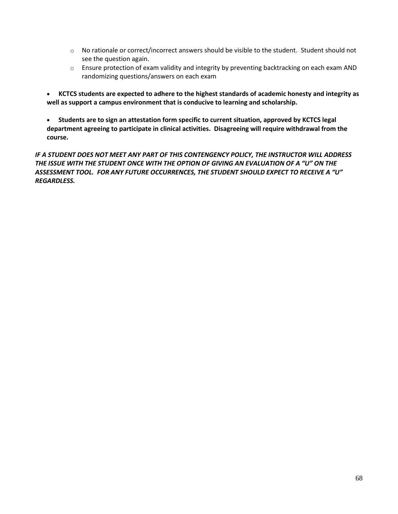- o No rationale or correct/incorrect answers should be visible to the student. Student should not see the question again.
- o Ensure protection of exam validity and integrity by preventing backtracking on each exam AND randomizing questions/answers on each exam

• **KCTCS students are expected to adhere to the highest standards of academic honesty and integrity as well as support a campus environment that is conducive to learning and scholarship.**

• **Students are to sign an attestation form specific to current situation, approved by KCTCS legal department agreeing to participate in clinical activities. Disagreeing will require withdrawal from the course.**

*IF A STUDENT DOES NOT MEET ANY PART OF THIS CONTENGENCY POLICY, THE INSTRUCTOR WILL ADDRESS THE ISSUE WITH THE STUDENT ONCE WITH THE OPTION OF GIVING AN EVALUATION OF A "U" ON THE ASSESSMENT TOOL. FOR ANY FUTURE OCCURRENCES, THE STUDENT SHOULD EXPECT TO RECEIVE A "U" REGARDLESS.*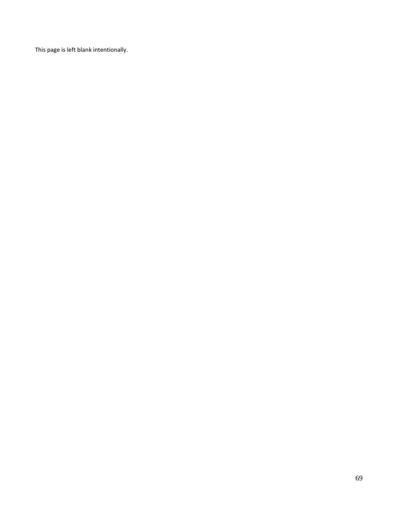This page is left blank intentionally.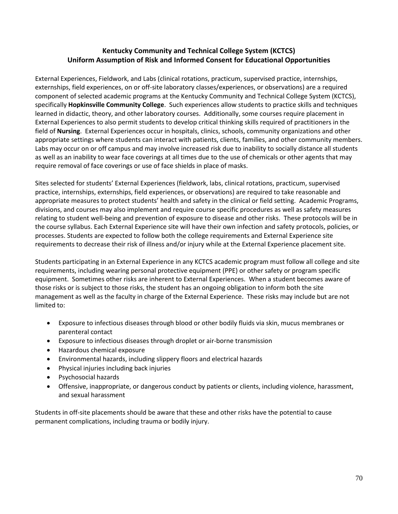# **Kentucky Community and Technical College System (KCTCS) Uniform Assumption of Risk and Informed Consent for Educational Opportunities**

External Experiences, Fieldwork, and Labs (clinical rotations, practicum, supervised practice, internships, externships, field experiences, on or off-site laboratory classes/experiences, or observations) are a required component of selected academic programs at the Kentucky Community and Technical College System (KCTCS), specifically **Hopkinsville Community College**. Such experiences allow students to practice skills and techniques learned in didactic, theory, and other laboratory courses. Additionally, some courses require placement in External Experiences to also permit students to develop critical thinking skills required of practitioners in the field of **Nursing**. External Experiences occur in hospitals, clinics, schools, community organizations and other appropriate settings where students can interact with patients, clients, families, and other community members. Labs may occur on or off campus and may involve increased risk due to inability to socially distance all students as well as an inability to wear face coverings at all times due to the use of chemicals or other agents that may require removal of face coverings or use of face shields in place of masks.

Sites selected for students' External Experiences (fieldwork, labs, clinical rotations, practicum, supervised practice, internships, externships, field experiences, or observations) are required to take reasonable and appropriate measures to protect students' health and safety in the clinical or field setting. Academic Programs, divisions, and courses may also implement and require course specific procedures as well as safety measures relating to student well-being and prevention of exposure to disease and other risks. These protocols will be in the course syllabus. Each External Experience site will have their own infection and safety protocols, policies, or processes. Students are expected to follow both the college requirements and External Experience site requirements to decrease their risk of illness and/or injury while at the External Experience placement site.

Students participating in an External Experience in any KCTCS academic program must follow all college and site requirements, including wearing personal protective equipment (PPE) or other safety or program specific equipment. Sometimes other risks are inherent to External Experiences. When a student becomes aware of those risks or is subject to those risks, the student has an ongoing obligation to inform both the site management as well as the faculty in charge of the External Experience. These risks may include but are not limited to:

- Exposure to infectious diseases through blood or other bodily fluids via skin, mucus membranes or parenteral contact
- Exposure to infectious diseases through droplet or air-borne transmission
- Hazardous chemical exposure
- Environmental hazards, including slippery floors and electrical hazards
- Physical injuries including back injuries
- Psychosocial hazards
- Offensive, inappropriate, or dangerous conduct by patients or clients, including violence, harassment, and sexual harassment

Students in off-site placements should be aware that these and other risks have the potential to cause permanent complications, including trauma or bodily injury.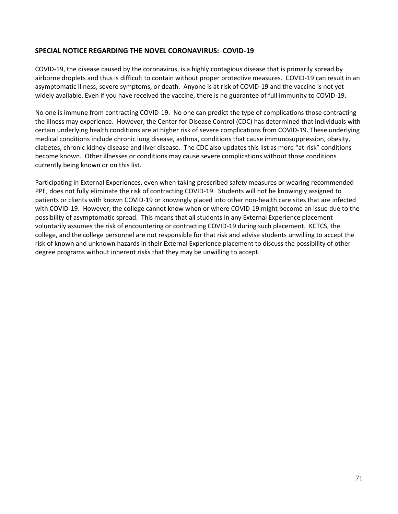### **SPECIAL NOTICE REGARDING THE NOVEL CORONAVIRUS: COVID-19**

COVID-19, the disease caused by the coronavirus, is a highly contagious disease that is primarily spread by airborne droplets and thus is difficult to contain without proper protective measures. COVID-19 can result in an asymptomatic illness, severe symptoms, or death. Anyone is at risk of COVID-19 and the vaccine is not yet widely available. Even if you have received the vaccine, there is no guarantee of full immunity to COVID-19.

No one is immune from contracting COVID-19. No one can predict the type of complications those contracting the illness may experience. However, the Center for Disease Control (CDC) has determined that individuals with certain underlying health conditions are at higher risk of severe complications from COVID-19. These underlying medical conditions include chronic lung disease, asthma, conditions that cause immunosuppression, obesity, diabetes, chronic kidney disease and liver disease. The CDC also updates this list as more "at-risk" conditions become known. Other illnesses or conditions may cause severe complications without those conditions currently being known or on this list.

Participating in External Experiences, even when taking prescribed safety measures or wearing recommended PPE, does not fully eliminate the risk of contracting COVID-19. Students will not be knowingly assigned to patients or clients with known COVID-19 or knowingly placed into other non-health care sites that are infected with COVID-19. However, the college cannot know when or where COVID-19 might become an issue due to the possibility of asymptomatic spread. This means that all students in any External Experience placement voluntarily assumes the risk of encountering or contracting COVID-19 during such placement. KCTCS, the college, and the college personnel are not responsible for that risk and advise students unwilling to accept the risk of known and unknown hazards in their External Experience placement to discuss the possibility of other degree programs without inherent risks that they may be unwilling to accept.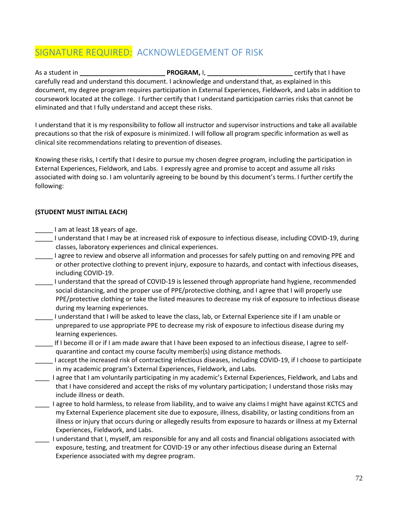# SIGNATURE REQUIRED: ACKNOWLEDGEMENT OF RISK

As a student in **\_\_\_\_\_\_\_\_\_\_\_\_\_\_\_\_\_\_\_\_\_\_\_\_ PROGRAM,** I, **\_\_\_\_\_\_\_\_\_\_\_\_\_\_\_\_\_\_\_\_\_\_\_\_** certify that I have carefully read and understand this document. I acknowledge and understand that, as explained in this document, my degree program requires participation in External Experiences, Fieldwork, and Labs in addition to coursework located at the college. I further certify that I understand participation carries risks that cannot be eliminated and that I fully understand and accept these risks.

I understand that it is my responsibility to follow all instructor and supervisor instructions and take all available precautions so that the risk of exposure is minimized. I will follow all program specific information as well as clinical site recommendations relating to prevention of diseases.

Knowing these risks, I certify that I desire to pursue my chosen degree program, including the participation in External Experiences, Fieldwork, and Labs. I expressly agree and promise to accept and assume all risks associated with doing so. I am voluntarily agreeing to be bound by this document's terms. I further certify the following:

# **(STUDENT MUST INITIAL EACH)**

- I am at least 18 years of age.
- \_\_\_\_\_ I understand that I may be at increased risk of exposure to infectious disease, including COVID-19, during classes, laboratory experiences and clinical experiences.
- \_\_\_\_\_ I agree to review and observe all information and processes for safely putting on and removing PPE and or other protective clothing to prevent injury, exposure to hazards, and contact with infectious diseases, including COVID-19.
- \_\_\_\_\_ I understand that the spread of COVID-19 is lessened through appropriate hand hygiene, recommended social distancing, and the proper use of PPE/protective clothing, and I agree that I will properly use PPE/protective clothing or take the listed measures to decrease my risk of exposure to infectious disease during my learning experiences.
- \_\_\_\_\_ I understand that I will be asked to leave the class, lab, or External Experience site if I am unable or unprepared to use appropriate PPE to decrease my risk of exposure to infectious disease during my learning experiences.
- \_\_\_\_\_ If I become ill or if I am made aware that I have been exposed to an infectious disease, I agree to selfquarantine and contact my course faculty member(s) using distance methods.
- \_\_\_\_\_ I accept the increased risk of contracting infectious diseases, including COVID-19, if I choose to participate in my academic program's External Experiences, Fieldwork, and Labs.
- \_\_\_\_ I agree that I am voluntarily participating in my academic's External Experiences, Fieldwork, and Labs and that I have considered and accept the risks of my voluntary participation; I understand those risks may include illness or death.
- I agree to hold harmless, to release from liability, and to waive any claims I might have against KCTCS and my External Experience placement site due to exposure, illness, disability, or lasting conditions from an illness or injury that occurs during or allegedly results from exposure to hazards or illness at my External Experiences, Fieldwork, and Labs.
- \_\_\_\_ I understand that I, myself, am responsible for any and all costs and financial obligations associated with exposure, testing, and treatment for COVID-19 or any other infectious disease during an External Experience associated with my degree program.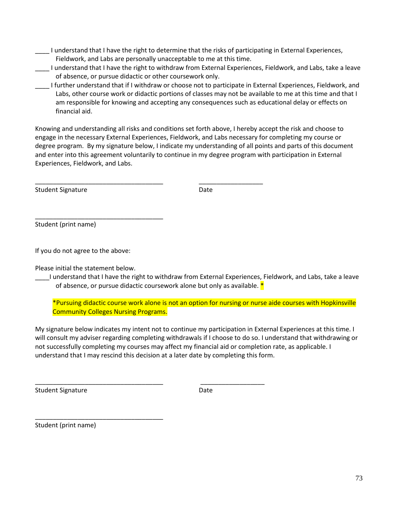- \_\_\_\_ I understand that I have the right to determine that the risks of participating in External Experiences, Fieldwork, and Labs are personally unacceptable to me at this time.
- \_\_\_\_ I understand that I have the right to withdraw from External Experiences, Fieldwork, and Labs, take a leave of absence, or pursue didactic or other coursework only.
- \_\_\_\_ I further understand that if I withdraw or choose not to participate in External Experiences, Fieldwork, and Labs, other course work or didactic portions of classes may not be available to me at this time and that I am responsible for knowing and accepting any consequences such as educational delay or effects on financial aid.

Knowing and understanding all risks and conditions set forth above, I hereby accept the risk and choose to engage in the necessary External Experiences, Fieldwork, and Labs necessary for completing my course or degree program. By my signature below, I indicate my understanding of all points and parts of this document and enter into this agreement voluntarily to continue in my degree program with participation in External Experiences, Fieldwork, and Labs.

\_\_\_\_\_\_\_\_\_\_\_\_\_\_\_\_\_\_\_\_\_\_\_\_\_\_\_\_\_\_\_\_\_\_\_\_ \_\_\_\_\_\_\_\_\_\_\_\_\_\_\_\_\_\_

\_\_\_\_\_\_\_\_\_\_\_\_\_\_\_\_\_\_\_\_\_\_\_\_\_\_\_\_\_\_\_\_\_\_\_\_ \_\_\_\_\_\_\_\_\_\_\_\_\_\_\_\_\_\_

Student Signature Date

Student (print name)

If you do not agree to the above:

\_\_\_\_\_\_\_\_\_\_\_\_\_\_\_\_\_\_\_\_\_\_\_\_\_\_\_\_\_\_\_\_\_\_\_\_

Please initial the statement below.

\_\_\_\_I understand that I have the right to withdraw from External Experiences, Fieldwork, and Labs, take a leave of absence, or pursue didactic coursework alone but only as available.  $*$ 

\*Pursuing didactic course work alone is not an option for nursing or nurse aide courses with Hopkinsville Community Colleges Nursing Programs.

My signature below indicates my intent not to continue my participation in External Experiences at this time. I will consult my adviser regarding completing withdrawals if I choose to do so. I understand that withdrawing or not successfully completing my courses may affect my financial aid or completion rate, as applicable. I understand that I may rescind this decision at a later date by completing this form.

Student Signature Date Date

Student (print name)

\_\_\_\_\_\_\_\_\_\_\_\_\_\_\_\_\_\_\_\_\_\_\_\_\_\_\_\_\_\_\_\_\_\_\_\_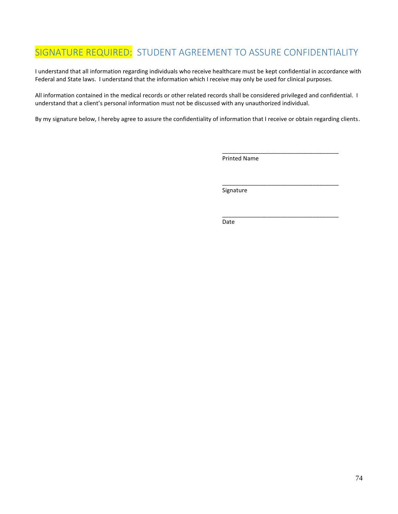## SIGNATURE REQUIRED: STUDENT AGREEMENT TO ASSURE CONFIDENTIALITY

I understand that all information regarding individuals who receive healthcare must be kept confidential in accordance with Federal and State laws. I understand that the information which I receive may only be used for clinical purposes.

All information contained in the medical records or other related records shall be considered privileged and confidential. I understand that a client's personal information must not be discussed with any unauthorized individual.

By my signature below, I hereby agree to assure the confidentiality of information that I receive or obtain regarding clients.

Printed Name

\_\_\_\_\_\_\_\_\_\_\_\_\_\_\_\_\_\_\_\_\_\_\_\_\_\_\_\_\_\_\_\_\_\_\_\_

\_\_\_\_\_\_\_\_\_\_\_\_\_\_\_\_\_\_\_\_\_\_\_\_\_\_\_\_\_\_\_\_\_\_\_\_

\_\_\_\_\_\_\_\_\_\_\_\_\_\_\_\_\_\_\_\_\_\_\_\_\_\_\_\_\_\_\_\_\_\_\_\_

Signature

Date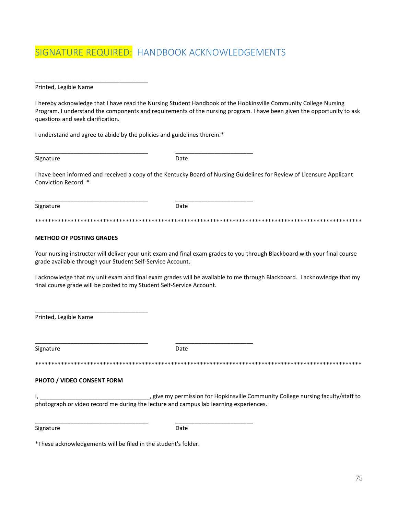## SIGNATURE REQUIRED: HANDBOOK ACKNOWLEDGEMENTS

Printed, Legible Name

\_\_\_\_\_\_\_\_\_\_\_\_\_\_\_\_\_\_\_\_\_\_\_\_\_\_\_\_\_\_\_\_\_\_\_

I hereby acknowledge that I have read the Nursing Student Handbook of the Hopkinsville Community College Nursing Program. I understand the components and requirements of the nursing program. I have been given the opportunity to ask questions and seek clarification.

I understand and agree to abide by the policies and guidelines therein.\*

\_\_\_\_\_\_\_\_\_\_\_\_\_\_\_\_\_\_\_\_\_\_\_\_\_\_\_\_\_\_\_\_\_\_\_ \_\_\_\_\_\_\_\_\_\_\_\_\_\_\_\_\_\_\_\_\_\_\_\_

Signature Date

I have been informed and received a copy of the Kentucky Board of Nursing Guidelines for Review of Licensure Applicant Conviction Record. \*

Signature Date Date

\_\_\_\_\_\_\_\_\_\_\_\_\_\_\_\_\_\_\_\_\_\_\_\_\_\_\_\_\_\_\_\_\_\_\_ \_\_\_\_\_\_\_\_\_\_\_\_\_\_\_\_\_\_\_\_\_\_\_\_

\*\*\*\*\*\*\*\*\*\*\*\*\*\*\*\*\*\*\*\*\*\*\*\*\*\*\*\*\*\*\*\*\*\*\*\*\*\*\*\*\*\*\*\*\*\*\*\*\*\*\*\*\*\*\*\*\*\*\*\*\*\*\*\*\*\*\*\*\*\*\*\*\*\*\*\*\*\*\*\*\*\*\*\*\*\*\*\*\*\*\*\*\*\*\*\*\*\*\*\*\*

#### **METHOD OF POSTING GRADES**

Your nursing instructor will deliver your unit exam and final exam grades to you through Blackboard with your final course grade available through your Student Self-Service Account.

I acknowledge that my unit exam and final exam grades will be available to me through Blackboard. I acknowledge that my final course grade will be posted to my Student Self-Service Account.

Printed, Legible Name

Signature Date

\_\_\_\_\_\_\_\_\_\_\_\_\_\_\_\_\_\_\_\_\_\_\_\_\_\_\_\_\_\_\_\_\_\_\_ \_\_\_\_\_\_\_\_\_\_\_\_\_\_\_\_\_\_\_\_\_\_\_\_

#### **PHOTO / VIDEO CONSENT FORM**

\_\_\_\_\_\_\_\_\_\_\_\_\_\_\_\_\_\_\_\_\_\_\_\_\_\_\_\_\_\_\_\_\_\_\_

I, \_\_\_\_\_\_\_\_\_\_\_\_\_\_\_\_\_\_\_\_\_\_\_\_\_\_\_\_\_\_\_\_\_\_, give my permission for Hopkinsville Community College nursing faculty/staff to photograph or video record me during the lecture and campus lab learning experiences.

\*\*\*\*\*\*\*\*\*\*\*\*\*\*\*\*\*\*\*\*\*\*\*\*\*\*\*\*\*\*\*\*\*\*\*\*\*\*\*\*\*\*\*\*\*\*\*\*\*\*\*\*\*\*\*\*\*\*\*\*\*\*\*\*\*\*\*\*\*\*\*\*\*\*\*\*\*\*\*\*\*\*\*\*\*\*\*\*\*\*\*\*\*\*\*\*\*\*\*\*\*

Signature Date Date

\_\_\_\_\_\_\_\_\_\_\_\_\_\_\_\_\_\_\_\_\_\_\_\_\_\_\_\_\_\_\_\_\_\_\_ \_\_\_\_\_\_\_\_\_\_\_\_\_\_\_\_\_\_\_\_\_\_\_\_

\*These acknowledgements will be filed in the student's folder.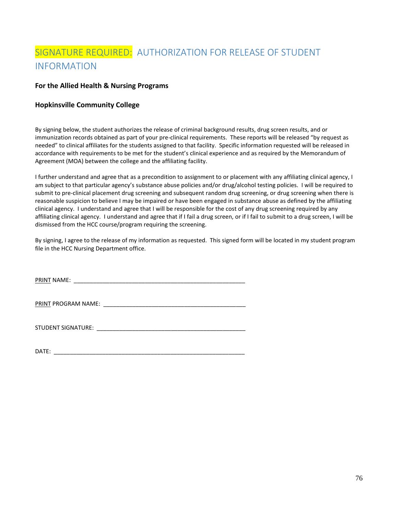# SIGNATURE REQUIRED: AUTHORIZATION FOR RELEASE OF STUDENT INFORMATION

### **For the Allied Health & Nursing Programs**

### **Hopkinsville Community College**

By signing below, the student authorizes the release of criminal background results, drug screen results, and or immunization records obtained as part of your pre-clinical requirements. These reports will be released "by request as needed" to clinical affiliates for the students assigned to that facility. Specific information requested will be released in accordance with requirements to be met for the student's clinical experience and as required by the Memorandum of Agreement (MOA) between the college and the affiliating facility.

I further understand and agree that as a precondition to assignment to or placement with any affiliating clinical agency, I am subject to that particular agency's substance abuse policies and/or drug/alcohol testing policies. I will be required to submit to pre-clinical placement drug screening and subsequent random drug screening, or drug screening when there is reasonable suspicion to believe I may be impaired or have been engaged in substance abuse as defined by the affiliating clinical agency. I understand and agree that I will be responsible for the cost of any drug screening required by any affiliating clinical agency. I understand and agree that if I fail a drug screen, or if I fail to submit to a drug screen, I will be dismissed from the HCC course/program requiring the screening.

By signing, I agree to the release of my information as requested. This signed form will be located in my student program file in the HCC Nursing Department office.

PRINT NAME: \_\_\_\_\_\_\_\_\_\_\_\_\_\_\_\_\_\_\_\_\_\_\_\_\_\_\_\_\_\_\_\_\_\_\_\_\_\_\_\_\_\_\_\_\_\_\_\_\_\_\_\_\_

PRINT PROGRAM NAME: \_\_\_\_\_\_\_\_\_\_\_\_\_\_\_\_\_\_\_\_\_\_\_\_\_\_\_\_\_\_\_\_\_\_\_\_\_\_\_\_\_\_\_\_

| STUDENT SIGNATURE: |  |
|--------------------|--|
|                    |  |

DATE: \_\_\_\_\_\_\_\_\_\_\_\_\_\_\_\_\_\_\_\_\_\_\_\_\_\_\_\_\_\_\_\_\_\_\_\_\_\_\_\_\_\_\_\_\_\_\_\_\_\_\_\_\_\_\_\_\_\_\_